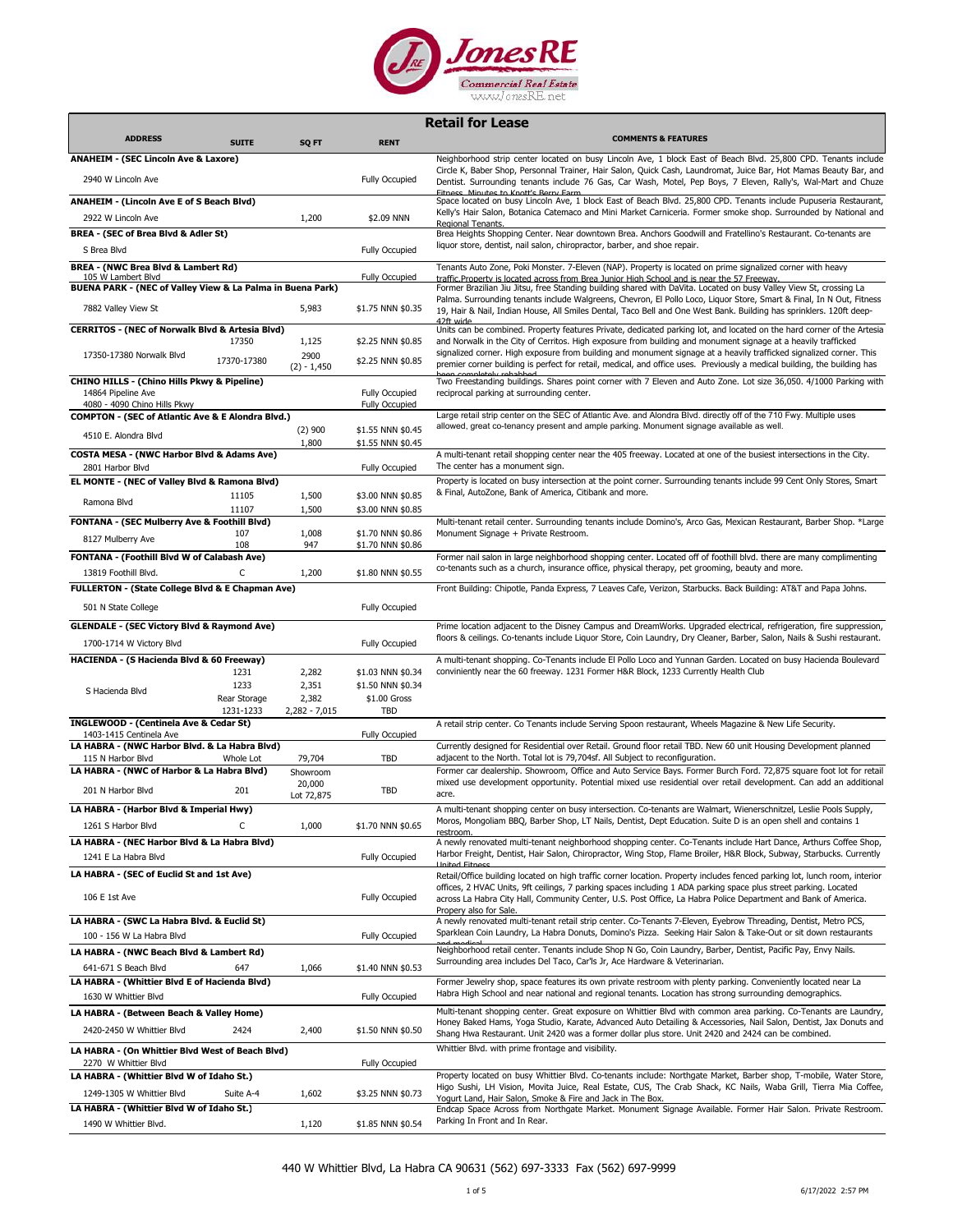

|                                                                                              |              |                       |                                        | <b>Retail for Lease</b>                                                                                                                                                                                                                                                                                                                                                                    |
|----------------------------------------------------------------------------------------------|--------------|-----------------------|----------------------------------------|--------------------------------------------------------------------------------------------------------------------------------------------------------------------------------------------------------------------------------------------------------------------------------------------------------------------------------------------------------------------------------------------|
| <b>ADDRESS</b>                                                                               | <b>SUITE</b> | SQ FT                 | <b>RENT</b>                            | <b>COMMENTS &amp; FEATURES</b>                                                                                                                                                                                                                                                                                                                                                             |
| <b>ANAHEIM - (SEC Lincoln Ave &amp; Laxore)</b>                                              |              |                       |                                        | Neighborhood strip center located on busy Lincoln Ave, 1 block East of Beach Blvd. 25,800 CPD. Tenants include                                                                                                                                                                                                                                                                             |
| 2940 W Lincoln Ave                                                                           |              |                       | <b>Fully Occupied</b>                  | Circle K, Baber Shop, Personnal Trainer, Hair Salon, Quick Cash, Laundromat, Juice Bar, Hot Mamas Beauty Bar, and<br>Dentist. Surrounding tenants include 76 Gas, Car Wash, Motel, Pep Boys, 7 Eleven, Rally's, Wal-Mart and Chuze                                                                                                                                                         |
| ANAHEIM - (Lincoln Ave E of S Beach Blvd)<br>2922 W Lincoln Ave                              |              |                       | \$2.09 NNN                             | Fitness Minutes to Knott's Berry Farm<br>Space located on busy Lincoln Ave, 1 block East of Beach Blvd. 25,800 CPD. Tenants include Pupuseria Restaurant,<br>Kelly's Hair Salon, Botanica Catemaco and Mini Market Carniceria. Former smoke shop. Surrounded by National and                                                                                                               |
| BREA - (SEC of Brea Blvd & Adler St)                                                         |              | 1,200                 |                                        | Regional Tenants.<br>Brea Heights Shopping Center. Near downtown Brea. Anchors Goodwill and Fratellino's Restaurant. Co-tenants are                                                                                                                                                                                                                                                        |
| S Brea Blvd                                                                                  |              |                       | <b>Fully Occupied</b>                  | liquor store, dentist, nail salon, chiropractor, barber, and shoe repair.                                                                                                                                                                                                                                                                                                                  |
| <b>BREA - (NWC Brea Blvd &amp; Lambert Rd)</b>                                               |              |                       |                                        | Tenants Auto Zone, Poki Monster. 7-Eleven (NAP). Property is located on prime signalized corner with heavy                                                                                                                                                                                                                                                                                 |
| 105 W Lambert Blvd<br>BUENA PARK - (NEC of Valley View & La Palma in Buena Park)             |              |                       | <b>Fully Occupied</b>                  | traffic Property is located across from Brea Junior High School and is near the 57 Freeway.<br>Former Brazilian Jiu Jitsu, free Standing building shared with DaVita. Located on busy Valley View St, crossing La                                                                                                                                                                          |
| 7882 Valley View St                                                                          |              | 5,983                 | \$1.75 NNN \$0.35                      | Palma. Surrounding tenants include Walgreens, Chevron, El Pollo Loco, Liquor Store, Smart & Final, In N Out, Fitness<br>19, Hair & Nail, Indian House, All Smiles Dental, Taco Bell and One West Bank. Building has sprinklers. 120ft deep-                                                                                                                                                |
| CERRITOS - (NEC of Norwalk Blvd & Artesia Blvd)                                              | 17350        | 1,125                 | \$2.25 NNN \$0.85                      | 47ft wide<br>Units can be combined. Property features Private, dedicated parking lot, and located on the hard corner of the Artesia<br>and Norwalk in the City of Cerritos. High exposure from building and monument signage at a heavily trafficked                                                                                                                                       |
| 17350-17380 Norwalk Blvd                                                                     | 17370-17380  | 2900<br>$(2) - 1,450$ | \$2.25 NNN \$0.85                      | signalized corner. High exposure from building and monument signage at a heavily trafficked signalized corner. This<br>premier corner building is perfect for retail, medical, and office uses. Previously a medical building, the building has                                                                                                                                            |
| <b>CHINO HILLS - (Chino Hills Pkwy &amp; Pipeline)</b>                                       |              |                       |                                        | Two Freestanding buildings. Shares point corner with 7 Eleven and Auto Zone. Lot size 36,050. 4/1000 Parking with                                                                                                                                                                                                                                                                          |
| 14864 Pipeline Ave                                                                           |              |                       | <b>Fully Occupied</b>                  | reciprocal parking at surrounding center.                                                                                                                                                                                                                                                                                                                                                  |
| 4080 - 4090 Chino Hills Pkwy<br><b>COMPTON - (SEC of Atlantic Ave &amp; E Alondra Blvd.)</b> |              |                       | <b>Fully Occupied</b>                  | Large retail strip center on the SEC of Atlantic Ave. and Alondra Blvd. directly off of the 710 Fwy. Multiple uses                                                                                                                                                                                                                                                                         |
|                                                                                              |              | $(2)$ 900             | \$1.55 NNN \$0.45                      | allowed, great co-tenancy present and ample parking. Monument signage available as well.                                                                                                                                                                                                                                                                                                   |
| 4510 E. Alondra Blvd                                                                         |              | 1,800                 | \$1.55 NNN \$0.45                      |                                                                                                                                                                                                                                                                                                                                                                                            |
| <b>COSTA MESA - (NWC Harbor Blvd &amp; Adams Ave)</b>                                        |              |                       |                                        | A multi-tenant retail shopping center near the 405 freeway. Located at one of the busiest intersections in the City.                                                                                                                                                                                                                                                                       |
| 2801 Harbor Blvd                                                                             |              |                       | Fully Occupied                         | The center has a monument sign.<br>Property is located on busy intersection at the point corner. Surrounding tenants include 99 Cent Only Stores, Smart                                                                                                                                                                                                                                    |
| EL MONTE - (NEC of Valley Blvd & Ramona Blvd)                                                | 11105        | 1,500                 | \$3.00 NNN \$0.85                      | & Final, AutoZone, Bank of America, Citibank and more.                                                                                                                                                                                                                                                                                                                                     |
| Ramona Blvd                                                                                  | 11107        | 1,500                 | \$3.00 NNN \$0.85                      |                                                                                                                                                                                                                                                                                                                                                                                            |
| FONTANA - (SEC Mulberry Ave & Foothill Blvd)                                                 |              |                       |                                        | Multi-tenant retail center. Surrounding tenants include Domino's, Arco Gas, Mexican Restaurant, Barber Shop. *Large                                                                                                                                                                                                                                                                        |
| 8127 Mulberry Ave                                                                            | 107          | 1,008                 | \$1.70 NNN \$0.86                      | Monument Signage + Private Restroom.                                                                                                                                                                                                                                                                                                                                                       |
| FONTANA - (Foothill Blvd W of Calabash Ave)                                                  | 108          | 947                   | \$1.70 NNN \$0.86                      | Former nail salon in large neighborhood shopping center. Located off of foothill blvd. there are many complimenting                                                                                                                                                                                                                                                                        |
| 13819 Foothill Blvd.                                                                         | C            | 1,200                 | \$1.80 NNN \$0.55                      | co-tenants such as a church, insurance office, physical therapy, pet grooming, beauty and more.                                                                                                                                                                                                                                                                                            |
| FULLERTON - (State College Blvd & E Chapman Ave)                                             |              |                       |                                        | Front Building: Chipotle, Panda Express, 7 Leaves Cafe, Verizon, Starbucks. Back Building: AT&T and Papa Johns.                                                                                                                                                                                                                                                                            |
| 501 N State College                                                                          |              |                       | <b>Fully Occupied</b>                  |                                                                                                                                                                                                                                                                                                                                                                                            |
|                                                                                              |              |                       |                                        |                                                                                                                                                                                                                                                                                                                                                                                            |
| <b>GLENDALE - (SEC Victory Blvd &amp; Raymond Ave)</b>                                       |              |                       |                                        | Prime location adjacent to the Disney Campus and DreamWorks. Upgraded electrical, refrigeration, fire suppression,<br>floors & ceilings. Co-tenants include Liquor Store, Coin Laundry, Dry Cleaner, Barber, Salon, Nails & Sushi restaurant.                                                                                                                                              |
| 1700-1714 W Victory Blvd                                                                     |              |                       | <b>Fully Occupied</b>                  |                                                                                                                                                                                                                                                                                                                                                                                            |
| HACIENDA - (S Hacienda Blvd & 60 Freeway)                                                    | 1231         | 2,282                 |                                        | A multi-tenant shopping. Co-Tenants include El Pollo Loco and Yunnan Garden. Located on busy Hacienda Boulevard<br>conviniently near the 60 freeway. 1231 Former H&R Block, 1233 Currently Health Club                                                                                                                                                                                     |
|                                                                                              | 1233         | 2,351                 | \$1.03 NNN \$0.34<br>\$1.50 NNN \$0.34 |                                                                                                                                                                                                                                                                                                                                                                                            |
| S Hacienda Blvd                                                                              | Rear Storage | 2,382                 | \$1.00 Gross                           |                                                                                                                                                                                                                                                                                                                                                                                            |
|                                                                                              | 1231-1233    | $2,282 - 7,015$       | TBD                                    |                                                                                                                                                                                                                                                                                                                                                                                            |
| INGLEWOOD - (Centinela Ave & Cedar St)<br>1403-1415 Centinela Ave                            |              |                       | <b>Fully Occupied</b>                  | A retail strip center. Co Tenants include Serving Spoon restaurant, Wheels Magazine & New Life Security.                                                                                                                                                                                                                                                                                   |
| LA HABRA - (NWC Harbor Blvd. & La Habra Blvd)                                                |              |                       |                                        | Currently designed for Residential over Retail. Ground floor retail TBD. New 60 unit Housing Development planned                                                                                                                                                                                                                                                                           |
| 115 N Harbor Blvd                                                                            | Whole Lot    | 79,704                | <b>TBD</b>                             | adjacent to the North. Total lot is 79,704sf. All Subject to reconfiguration.                                                                                                                                                                                                                                                                                                              |
| LA HABRA - (NWC of Harbor & La Habra Blvd)<br>201 N Harbor Blvd                              | 201          | Showroom<br>20,000    | TBD                                    | Former car dealership. Showroom, Office and Auto Service Bays. Former Burch Ford. 72,875 square foot lot for retail<br>mixed use development opportunity. Potential mixed use residential over retail development. Can add an additional<br>acre.                                                                                                                                          |
| LA HABRA - (Harbor Blvd & Imperial Hwv)                                                      |              | Lot 72,875            |                                        | A multi-tenant shopping center on busy intersection. Co-tenants are Walmart, Wienerschnitzel, Leslie Pools Supply,                                                                                                                                                                                                                                                                         |
| 1261 S Harbor Blvd                                                                           | C            | 1,000                 | \$1.70 NNN \$0.65                      | Moros, Mongoliam BBQ, Barber Shop, LT Nails, Dentist, Dept Education. Suite D is an open shell and contains 1<br>restroom.                                                                                                                                                                                                                                                                 |
| LA HABRA - (NEC Harbor Blvd & La Habra Blvd)                                                 |              |                       |                                        | A newly renovated multi-tenant neighborhood shopping center. Co-Tenants include Hart Dance, Arthurs Coffee Shop,                                                                                                                                                                                                                                                                           |
| 1241 E La Habra Blvd                                                                         |              |                       | <b>Fully Occupied</b>                  | Harbor Freight, Dentist, Hair Salon, Chiropractor, Wing Stop, Flame Broiler, H&R Block, Subway, Starbucks. Currently<br><b>United Fitness</b>                                                                                                                                                                                                                                              |
| LA HABRA - (SEC of Euclid St and 1st Ave)<br>106 E 1st Ave                                   |              |                       | <b>Fully Occupied</b>                  | Retail/Office building located on high traffic corner location. Property includes fenced parking lot, lunch room, interior<br>offices, 2 HVAC Units, 9ft ceilings, 7 parking spaces including 1 ADA parking space plus street parking. Located<br>across La Habra City Hall, Community Center, U.S. Post Office, La Habra Police Department and Bank of America.<br>Propery also for Sale. |
| LA HABRA - (SWC La Habra Blvd. & Euclid St)<br>100 - 156 W La Habra Blvd                     |              |                       | <b>Fully Occupied</b>                  | A newly renovated multi-tenant retail strip center. Co-Tenants 7-Eleven, Eyebrow Threading, Dentist, Metro PCS,<br>Sparklean Coin Laundry, La Habra Donuts, Domino's Pizza. Seeking Hair Salon & Take-Out or sit down restaurants                                                                                                                                                          |
| LA HABRA - (NWC Beach Blvd & Lambert Rd)                                                     |              |                       |                                        | Neighborhood retail center. Tenants include Shop N Go, Coin Laundry, Barber, Dentist, Pacific Pay, Envy Nails.                                                                                                                                                                                                                                                                             |
| 641-671 S Beach Blvd                                                                         | 647          | 1,066                 | \$1.40 NNN \$0.53                      | Surrounding area includes Del Taco, Car'ls Jr, Ace Hardware & Veterinarian.                                                                                                                                                                                                                                                                                                                |
| LA HABRA - (Whittier Blvd E of Hacienda Blvd)                                                |              |                       |                                        | Former Jewelry shop, space features its own private restroom with plenty parking. Conveniently located near La                                                                                                                                                                                                                                                                             |
| 1630 W Whittier Blvd                                                                         |              |                       | <b>Fully Occupied</b>                  | Habra High School and near national and regional tenants. Location has strong surrounding demographics.                                                                                                                                                                                                                                                                                    |
| LA HABRA - (Between Beach & Valley Home)                                                     |              |                       |                                        | Multi-tenant shopping center. Great exposure on Whittier Blvd with common area parking. Co-Tenants are Laundry,                                                                                                                                                                                                                                                                            |
| 2420-2450 W Whittier Blvd                                                                    | 2424         | 2,400                 | \$1.50 NNN \$0.50                      | Honey Baked Hams, Yoga Studio, Karate, Advanced Auto Detailing & Accessories, Nail Salon, Dentist, Jax Donuts and<br>Shang Hwa Restaurant. Unit 2420 was a former dollar plus store. Unit 2420 and 2424 can be combined.                                                                                                                                                                   |
| LA HABRA - (On Whittier Blvd West of Beach Blvd)<br>2270 W Whittier Blvd                     |              |                       | <b>Fully Occupied</b>                  | Whittier Blvd. with prime frontage and visibility.                                                                                                                                                                                                                                                                                                                                         |
| LA HABRA - (Whittier Blvd W of Idaho St.)                                                    |              |                       |                                        | Property located on busy Whittier Blvd. Co-tenants include: Northgate Market, Barber shop, T-mobile, Water Store,                                                                                                                                                                                                                                                                          |
| 1249-1305 W Whittier Blvd                                                                    | Suite A-4    | 1,602                 | \$3.25 NNN \$0.73                      | Higo Sushi, LH Vision, Movita Juice, Real Estate, CUS, The Crab Shack, KC Nails, Waba Grill, Tierra Mia Coffee,<br>Yogurt Land, Hair Salon, Smoke & Fire and Jack in The Box.                                                                                                                                                                                                              |
| LA HABRA - (Whittier Blvd W of Idaho St.)                                                    |              |                       |                                        | Endcap Space Across from Northgate Market. Monument Signage Available. Former Hair Salon. Private Restroom.                                                                                                                                                                                                                                                                                |
| 1490 W Whittier Blvd.                                                                        |              | 1,120                 | \$1.85 NNN \$0.54                      | Parking In Front and In Rear.                                                                                                                                                                                                                                                                                                                                                              |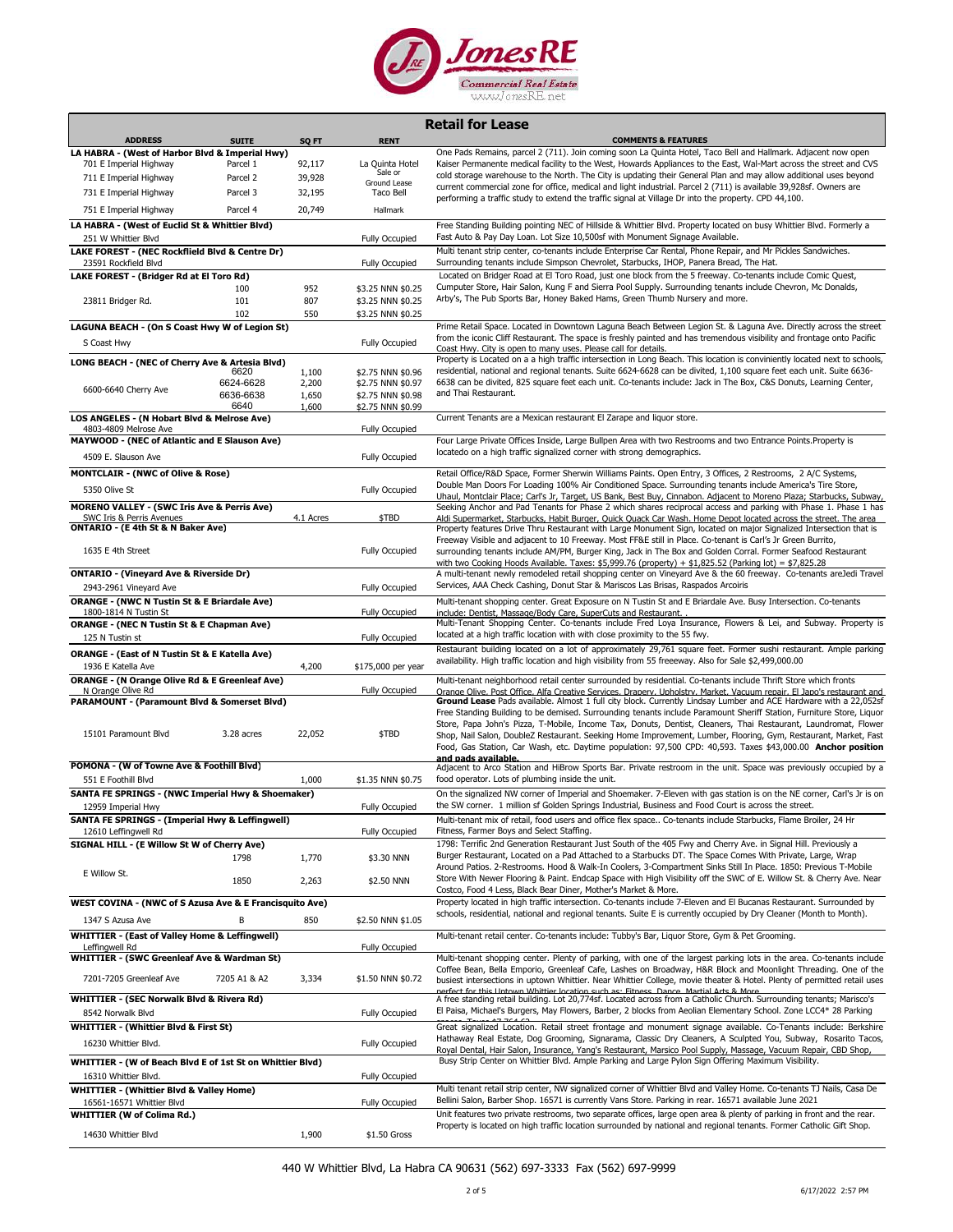

|                                                                                |                   |                |                                        | <b>Retail for Lease</b>                                                                                                                                                                                                                   |
|--------------------------------------------------------------------------------|-------------------|----------------|----------------------------------------|-------------------------------------------------------------------------------------------------------------------------------------------------------------------------------------------------------------------------------------------|
| <b>ADDRESS</b>                                                                 | <b>SUITE</b>      | SQ FT          | <b>RENT</b>                            | <b>COMMENTS &amp; FEATURES</b>                                                                                                                                                                                                            |
| LA HABRA - (West of Harbor Blvd & Imperial Hwy)<br>701 E Imperial Highway      | Parcel 1          | 92,117         | La Quinta Hotel                        | One Pads Remains, parcel 2 (711). Join coming soon La Quinta Hotel, Taco Bell and Hallmark. Adjacent now open<br>Kaiser Permanente medical facility to the West, Howards Appliances to the East, Wal-Mart across the street and CVS       |
| 711 E Imperial Highway                                                         | Parcel 2          | 39,928         | Sale or                                | cold storage warehouse to the North. The City is updating their General Plan and may allow additional uses beyond                                                                                                                         |
| 731 E Imperial Highway                                                         | Parcel 3          | 32,195         | Ground Lease<br>Taco Bell              | current commercial zone for office, medical and light industrial. Parcel 2 (711) is available 39,928sf. Owners are                                                                                                                        |
| 751 E Imperial Highway                                                         | Parcel 4          | 20,749         | Hallmark                               | performing a traffic study to extend the traffic signal at Village Dr into the property. CPD 44,100.                                                                                                                                      |
| LA HABRA - (West of Euclid St & Whittier Blvd)                                 |                   |                |                                        | Free Standing Building pointing NEC of Hillside & Whittier Blvd. Property located on busy Whittier Blvd. Formerly a                                                                                                                       |
| 251 W Whittier Blvd                                                            |                   |                | <b>Fully Occupied</b>                  | Fast Auto & Pay Day Loan. Lot Size 10,500sf with Monument Signage Available.                                                                                                                                                              |
| LAKE FOREST - (NEC Rockflield Blvd & Centre Dr)                                |                   |                |                                        | Multi tenant strip center, co-tenants include Enterprise Car Rental, Phone Repair, and Mr Pickles Sandwiches.                                                                                                                             |
| 23591 Rockfield Blvd<br>LAKE FOREST - (Bridger Rd at El Toro Rd)               |                   |                | <b>Fully Occupied</b>                  | Surrounding tenants include Simpson Chevrolet, Starbucks, IHOP, Panera Bread, The Hat.<br>Located on Bridger Road at El Toro Road, just one block from the 5 freeway. Co-tenants include Comic Quest,                                     |
|                                                                                | 100               | 952            | \$3.25 NNN \$0.25                      | Cumputer Store, Hair Salon, Kung F and Sierra Pool Supply. Surrounding tenants include Chevron, Mc Donalds,                                                                                                                               |
| 23811 Bridger Rd.                                                              | 101               | 807            | \$3.25 NNN \$0.25                      | Arby's, The Pub Sports Bar, Honey Baked Hams, Green Thumb Nursery and more.                                                                                                                                                               |
| LAGUNA BEACH - (On S Coast Hwy W of Legion St)                                 | 102               | 550            | \$3.25 NNN \$0.25                      | Prime Retail Space. Located in Downtown Laguna Beach Between Legion St. & Laguna Ave. Directly across the street                                                                                                                          |
| S Coast Hwy                                                                    |                   |                | <b>Fully Occupied</b>                  | from the iconic Cliff Restaurant. The space is freshly painted and has tremendous visibility and frontage onto Pacific                                                                                                                    |
|                                                                                |                   |                |                                        | Coast Hwy. City is open to many uses. Please call for details.<br>Property is Located on a a high traffic intersection in Long Beach. This location is conviniently located next to schools,                                              |
| LONG BEACH - (NEC of Cherry Ave & Artesia Blvd)                                | 6620              | 1,100          | \$2.75 NNN \$0.96                      | residential, national and regional tenants. Suite 6624-6628 can be divited, 1,100 square feet each unit. Suite 6636-                                                                                                                      |
| 6600-6640 Cherry Ave                                                           | 6624-6628         | 2,200          | \$2.75 NNN \$0.97                      | 6638 can be divited, 825 square feet each unit. Co-tenants include: Jack in The Box, C&S Donuts, Learning Center,                                                                                                                         |
|                                                                                | 6636-6638<br>6640 | 1,650<br>1,600 | \$2.75 NNN \$0.98<br>\$2.75 NNN \$0.99 | and Thai Restaurant.                                                                                                                                                                                                                      |
| LOS ANGELES - (N Hobart Blvd & Melrose Ave)                                    |                   |                |                                        | Current Tenants are a Mexican restaurant El Zarape and liquor store.                                                                                                                                                                      |
| 4803-4809 Melrose Ave<br>MAYWOOD - (NEC of Atlantic and E Slauson Ave)         |                   |                | <b>Fully Occupied</b>                  | Four Large Private Offices Inside, Large Bullpen Area with two Restrooms and two Entrance Points. Property is                                                                                                                             |
| 4509 E. Slauson Ave                                                            |                   |                | <b>Fully Occupied</b>                  | locatedo on a high traffic signalized corner with strong demographics.                                                                                                                                                                    |
| <b>MONTCLAIR - (NWC of Olive &amp; Rose)</b>                                   |                   |                |                                        | Retail Office/R&D Space, Former Sherwin Williams Paints. Open Entry, 3 Offices, 2 Restrooms, 2 A/C Systems,                                                                                                                               |
| 5350 Olive St                                                                  |                   |                | Fully Occupied                         | Double Man Doors For Loading 100% Air Conditioned Space. Surrounding tenants include America's Tire Store,<br>Uhaul, Montclair Place; Carl's Jr, Target, US Bank, Best Buy, Cinnabon. Adjacent to Moreno Plaza; Starbucks, Subway,        |
| <b>MORENO VALLEY - (SWC Iris Ave &amp; Perris Ave)</b>                         |                   |                |                                        | Seeking Anchor and Pad Tenants for Phase 2 which shares reciprocal access and parking with Phase 1. Phase 1 has                                                                                                                           |
| SWC Iris & Perris Avenues<br>ONTARIO - (E 4th St & N Baker Ave)                |                   | 4.1 Acres      | \$TBD                                  | Aldi Supermarket, Starbucks, Habit Burger, Quick Quack Car Wash. Home Depot located across the street. The area<br>Property features Drive Thru Restaurant with Large Monument Sign, located on major Signalized Intersection that is     |
|                                                                                |                   |                |                                        | Freeway Visible and adjacent to 10 Freeway. Most FF&E still in Place. Co-tenant is Carl's Jr Green Burrito,                                                                                                                               |
| 1635 E 4th Street                                                              |                   |                | Fully Occupied                         | surrounding tenants include AM/PM, Burger King, Jack in The Box and Golden Corral. Former Seafood Restaurant                                                                                                                              |
| <b>ONTARIO - (Vineyard Ave &amp; Riverside Dr)</b>                             |                   |                |                                        | with two Cooking Hoods Available. Taxes: \$5,999.76 (property) + \$1,825.52 (Parking lot) = \$7,825.28<br>A multi-tenant newly remodeled retail shopping center on Vineyard Ave & the 60 freeway. Co-tenants areJedi Travel               |
| 2943-2961 Vineyard Ave                                                         |                   |                | <b>Fully Occupied</b>                  | Services, AAA Check Cashing, Donut Star & Mariscos Las Brisas, Raspados Arcoiris                                                                                                                                                          |
| <b>ORANGE - (NWC N Tustin St &amp; E Briardale Ave)</b>                        |                   |                |                                        | Multi-tenant shopping center. Great Exposure on N Tustin St and E Briardale Ave. Busy Intersection. Co-tenants                                                                                                                            |
| 1800-1814 N Tustin St<br><b>ORANGE - (NEC N Tustin St &amp; E Chapman Ave)</b> |                   |                | <b>Fully Occupied</b>                  | include: Dentist, Massage/Body Care, SuperCuts and Restaurant.<br>Multi-Tenant Shopping Center. Co-tenants include Fred Loya Insurance, Flowers & Lei, and Subway. Property is                                                            |
| 125 N Tustin st                                                                |                   |                | <b>Fully Occupied</b>                  | located at a high traffic location with with close proximity to the 55 fwy.                                                                                                                                                               |
| <b>ORANGE - (East of N Tustin St &amp; E Katella Ave)</b>                      |                   |                |                                        | Restaurant building located on a lot of approximately 29,761 square feet. Former sushi restaurant. Ample parking                                                                                                                          |
| 1936 E Katella Ave                                                             |                   | 4,200          | \$175,000 per year                     | availability. High traffic location and high visibility from 55 freeeway. Also for Sale \$2,499,000.00                                                                                                                                    |
| ORANGE - (N Orange Olive Rd & E Greenleaf Ave)<br>N Orange Olive Rd            |                   |                | <b>Fully Occupied</b>                  | Multi-tenant neighborhood retail center surrounded by residential. Co-tenants include Thrift Store which fronts<br>Orange Olive, Post Office, Alfa Creative Services, Drapery, Upholstry, Market, Vacuum repair, El Japo's restaurant and |
| PARAMOUNT - (Paramount Blvd & Somerset Blvd)                                   |                   |                |                                        | Ground Lease Pads available. Almost 1 full city block. Currently Lindsay Lumber and ACE Hardware with a 22,052sf                                                                                                                          |
|                                                                                |                   |                |                                        | Free Standing Building to be demised. Surrounding tenants include Paramount Sheriff Station, Furniture Store, Liquor<br>Store, Papa John's Pizza, T-Mobile, Income Tax, Donuts, Dentist, Cleaners, Thai Restaurant, Laundromat, Flower    |
| 15101 Paramount Blvd                                                           | 3.28 acres        | 22,052         | \$TBD                                  | Shop, Nail Salon, DoubleZ Restaurant. Seeking Home Improvement, Lumber, Flooring, Gym, Restaurant, Market, Fast                                                                                                                           |
|                                                                                |                   |                |                                        | Food, Gas Station, Car Wash, etc. Daytime population: 97,500 CPD: 40,593. Taxes \$43,000.00 Anchor position<br>and pads available.                                                                                                        |
| POMONA - (W of Towne Ave & Foothill Blvd)                                      |                   |                |                                        | Adjacent to Arco Station and HiBrow Sports Bar. Private restroom in the unit. Space was previously occupied by a                                                                                                                          |
| 551 E Foothill Blvd                                                            |                   | 1,000          | \$1.35 NNN \$0.75                      | food operator. Lots of plumbing inside the unit.                                                                                                                                                                                          |
| SANTA FE SPRINGS - (NWC Imperial Hwy & Shoemaker)<br>12959 Imperial Hwy        |                   |                | Fully Occupied                         | On the signalized NW corner of Imperial and Shoemaker. 7-Eleven with gas station is on the NE corner, Carl's Jr is on<br>the SW corner. 1 million sf Golden Springs Industrial, Business and Food Court is across the street.             |
| <b>SANTA FE SPRINGS - (Imperial Hwy &amp; Leffingwell)</b>                     |                   |                |                                        | Multi-tenant mix of retail, food users and office flex space Co-tenants include Starbucks, Flame Broiler, 24 Hr                                                                                                                           |
| 12610 Leffingwell Rd                                                           |                   |                | Fully Occupied                         | Fitness, Farmer Boys and Select Staffing.                                                                                                                                                                                                 |
| SIGNAL HILL - (E Willow St W of Cherry Ave)                                    | 1798              | 1,770          | \$3.30 NNN                             | 1798: Terrific 2nd Generation Restaurant Just South of the 405 Fwy and Cherry Ave. in Signal Hill. Previously a<br>Burger Restaurant, Located on a Pad Attached to a Starbucks DT. The Space Comes With Private, Large, Wrap              |
| E Willow St.                                                                   |                   |                |                                        | Around Patios. 2-Restrooms. Hood & Walk-In Coolers, 3-Compartment Sinks Still In Place. 1850: Previous T-Mobile                                                                                                                           |
|                                                                                | 1850              | 2,263          | \$2.50 NNN                             | Store With Newer Flooring & Paint. Endcap Space with High Visibility off the SWC of E. Willow St. & Cherry Ave. Near<br>Costco, Food 4 Less, Black Bear Diner, Mother's Market & More.                                                    |
| WEST COVINA - (NWC of S Azusa Ave & E Francisquito Ave)                        |                   |                |                                        | Property located in high traffic intersection. Co-tenants include 7-Eleven and El Bucanas Restaurant. Surrounded by                                                                                                                       |
| 1347 S Azusa Ave                                                               | B                 | 850            | \$2.50 NNN \$1.05                      | schools, residential, national and regional tenants. Suite E is currently occupied by Dry Cleaner (Month to Month).                                                                                                                       |
| <b>WHITTIER - (East of Valley Home &amp; Leffingwell)</b>                      |                   |                |                                        | Multi-tenant retail center. Co-tenants include: Tubby's Bar, Liquor Store, Gym & Pet Grooming.                                                                                                                                            |
| Leffingwell Rd<br><b>WHITTIER - (SWC Greenleaf Ave &amp; Wardman St)</b>       |                   |                | Fully Occupied                         | Multi-tenant shopping center. Plenty of parking, with one of the largest parking lots in the area. Co-tenants include                                                                                                                     |
|                                                                                |                   |                |                                        | Coffee Bean, Bella Emporio, Greenleaf Cafe, Lashes on Broadway, H&R Block and Moonlight Threading. One of the                                                                                                                             |
| 7201-7205 Greenleaf Ave                                                        | 7205 A1 & A2      | 3,334          | \$1.50 NNN \$0.72                      | busiest intersections in uptown Whittier. Near Whittier College, movie theater & Hotel. Plenty of permitted retail uses<br>perfect for this Untown Whittier location such as: Fitness, Dance, Martial Arts & More                         |
| WHITTIER - (SEC Norwalk Blvd & Rivera Rd)                                      |                   |                |                                        | A free standing retail building. Lot 20,774sf. Located across from a Catholic Church. Surrounding tenants; Marisco's                                                                                                                      |
| 8542 Norwalk Blvd                                                              |                   |                | <b>Fully Occupied</b>                  | El Paisa, Michael's Burgers, May Flowers, Barber, 2 blocks from Aeolian Elementary School. Zone LCC4* 28 Parking                                                                                                                          |
| <b>WHITTIER - (Whittier Blvd &amp; First St)</b>                               |                   |                |                                        | Great signalized Location. Retail street frontage and monument signage available. Co-Tenants include: Berkshire<br>Hathaway Real Estate, Dog Grooming, Signarama, Classic Dry Cleaners, A Sculpted You, Subway, Rosarito Tacos,           |
| 16230 Whittier Blvd.                                                           |                   |                | <b>Fully Occupied</b>                  | Royal Dental, Hair Salon, Insurance, Yang's Restaurant, Marsico Pool Supply, Massage, Vacuum Repair, CBD Shop,                                                                                                                            |
| WHITTIER - (W of Beach Blvd E of 1st St on Whittier Blvd)                      |                   |                |                                        | Busy Strip Center on Whittier Blvd. Ample Parking and Large Pylon Sign Offering Maximum Visibility.                                                                                                                                       |
| 16310 Whittier Blvd.<br><b>WHITTIER - (Whittier Blvd &amp; Valley Home)</b>    |                   |                | <b>Fully Occupied</b>                  | Multi tenant retail strip center, NW signalized corner of Whittier Blvd and Valley Home. Co-tenants TJ Nails, Casa De                                                                                                                     |
| 16561-16571 Whittier Blvd                                                      |                   |                | <b>Fully Occupied</b>                  | Bellini Salon, Barber Shop. 16571 is currently Vans Store. Parking in rear. 16571 available June 2021                                                                                                                                     |
| <b>WHITTIER (W of Colima Rd.)</b>                                              |                   |                |                                        | Unit features two private restrooms, two separate offices, large open area & plenty of parking in front and the rear.                                                                                                                     |
| 14630 Whittier Blvd                                                            |                   | 1,900          | \$1.50 Gross                           | Property is located on high traffic location surrounded by national and regional tenants. Former Catholic Gift Shop.                                                                                                                      |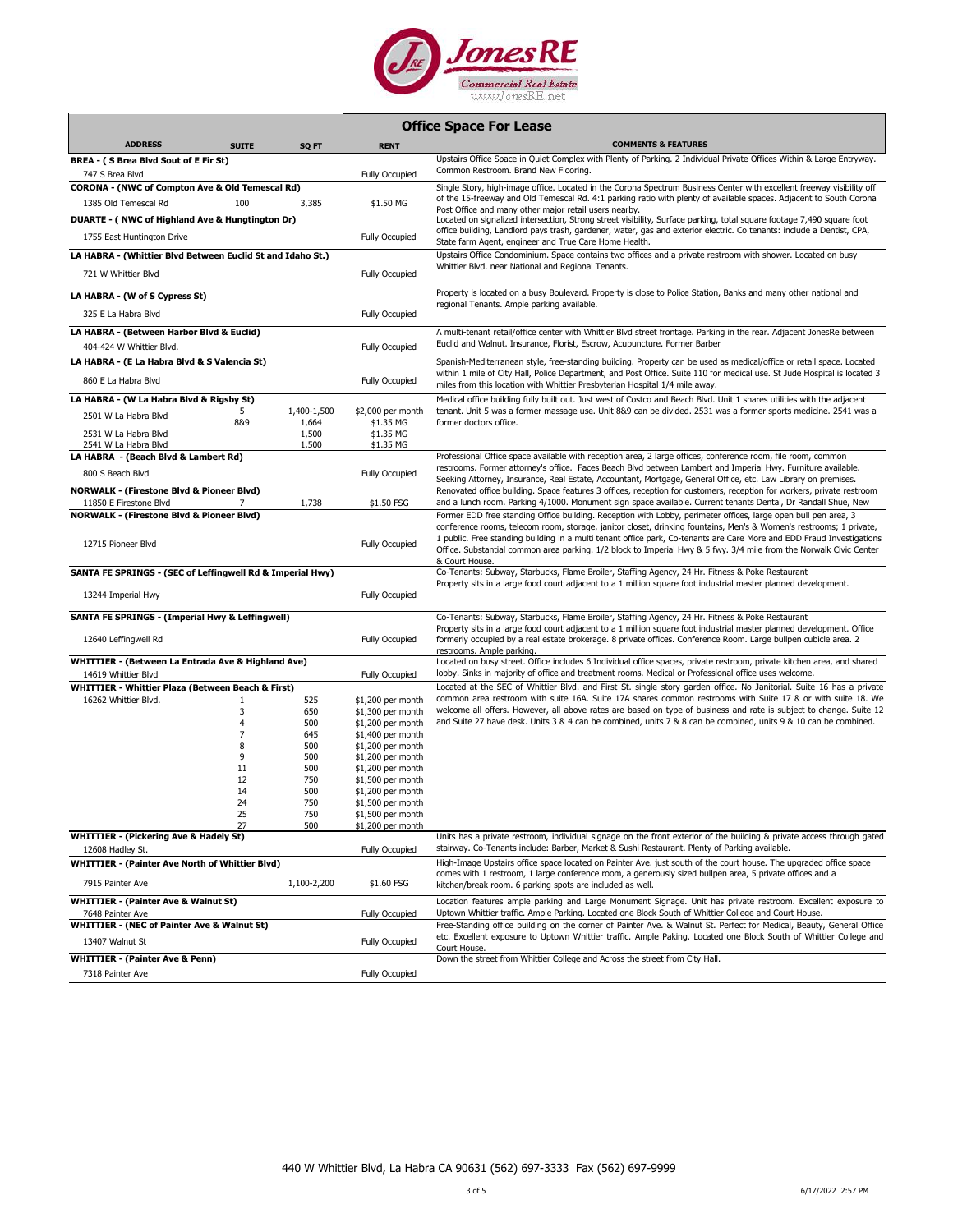

| <b>Office Space For Lease</b> |  |  |  |
|-------------------------------|--|--|--|
|-------------------------------|--|--|--|

| <b>ADDRESS</b>                                                             | <b>SUITE</b>   | SQ FT       | <b>RENT</b>                            | <b>COMMENTS &amp; FEATURES</b>                                                                                                                                                                                                                                                                                                                                                                                                                                                      |
|----------------------------------------------------------------------------|----------------|-------------|----------------------------------------|-------------------------------------------------------------------------------------------------------------------------------------------------------------------------------------------------------------------------------------------------------------------------------------------------------------------------------------------------------------------------------------------------------------------------------------------------------------------------------------|
| BREA - (S Brea Blvd Sout of E Fir St)                                      |                |             |                                        | Upstairs Office Space in Quiet Complex with Plenty of Parking. 2 Individual Private Offices Within & Large Entryway.                                                                                                                                                                                                                                                                                                                                                                |
| 747 S Brea Blvd                                                            |                |             | Fully Occupied                         | Common Restroom. Brand New Flooring.                                                                                                                                                                                                                                                                                                                                                                                                                                                |
| <b>CORONA - (NWC of Compton Ave &amp; Old Temescal Rd)</b>                 |                |             |                                        | Single Story, high-image office. Located in the Corona Spectrum Business Center with excellent freeway visibility off                                                                                                                                                                                                                                                                                                                                                               |
| 1385 Old Temescal Rd                                                       | 100            | 3,385       | \$1.50 MG                              | of the 15-freeway and Old Temescal Rd. 4:1 parking ratio with plenty of available spaces. Adjacent to South Corona<br>Post Office and many other major retail users nearby                                                                                                                                                                                                                                                                                                          |
| DUARTE - (NWC of Highland Ave & Hungtington Dr)                            |                |             |                                        | Located on signalized intersection, Strong street visibility, Surface parking, total square footage 7,490 square foot                                                                                                                                                                                                                                                                                                                                                               |
| 1755 East Huntington Drive                                                 |                |             | Fully Occupied                         | office building, Landlord pays trash, gardener, water, gas and exterior electric. Co tenants: include a Dentist, CPA,<br>State farm Agent, engineer and True Care Home Health.                                                                                                                                                                                                                                                                                                      |
| LA HABRA - (Whittier Blvd Between Euclid St and Idaho St.)                 |                |             |                                        | Upstairs Office Condominium. Space contains two offices and a private restroom with shower. Located on busy                                                                                                                                                                                                                                                                                                                                                                         |
| 721 W Whittier Blvd                                                        |                |             | <b>Fully Occupied</b>                  | Whittier Blvd. near National and Regional Tenants.                                                                                                                                                                                                                                                                                                                                                                                                                                  |
| LA HABRA - (W of S Cypress St)                                             |                |             |                                        | Property is located on a busy Boulevard. Property is close to Police Station, Banks and many other national and<br>regional Tenants. Ample parking available.                                                                                                                                                                                                                                                                                                                       |
| 325 E La Habra Blvd                                                        |                |             | Fully Occupied                         |                                                                                                                                                                                                                                                                                                                                                                                                                                                                                     |
| LA HABRA - (Between Harbor Blvd & Euclid)                                  |                |             |                                        | A multi-tenant retail/office center with Whittier Blvd street frontage. Parking in the rear. Adjacent JonesRe between                                                                                                                                                                                                                                                                                                                                                               |
| 404-424 W Whittier Blvd.                                                   |                |             | <b>Fully Occupied</b>                  | Euclid and Walnut. Insurance, Florist, Escrow, Acupuncture. Former Barber                                                                                                                                                                                                                                                                                                                                                                                                           |
| LA HABRA - (E La Habra Blvd & S Valencia St)                               |                |             |                                        | Spanish-Mediterranean style, free-standing building. Property can be used as medical/office or retail space. Located                                                                                                                                                                                                                                                                                                                                                                |
| 860 E La Habra Blvd                                                        |                |             | Fully Occupied                         | within 1 mile of City Hall, Police Department, and Post Office. Suite 110 for medical use. St Jude Hospital is located 3<br>miles from this location with Whittier Presbyterian Hospital 1/4 mile away.                                                                                                                                                                                                                                                                             |
| LA HABRA - (W La Habra Blvd & Rigsby St)                                   |                |             |                                        | Medical office building fully built out. Just west of Costco and Beach Blvd. Unit 1 shares utilities with the adjacent                                                                                                                                                                                                                                                                                                                                                              |
| 2501 W La Habra Blvd                                                       | 5              | 1,400-1,500 | \$2,000 per month                      | tenant. Unit 5 was a former massage use. Unit 8&9 can be divided. 2531 was a former sports medicine. 2541 was a                                                                                                                                                                                                                                                                                                                                                                     |
|                                                                            | 8&9            | 1,664       | \$1.35 MG                              | former doctors office.                                                                                                                                                                                                                                                                                                                                                                                                                                                              |
| 2531 W La Habra Blvd                                                       |                | 1,500       | \$1.35 MG                              |                                                                                                                                                                                                                                                                                                                                                                                                                                                                                     |
| 2541 W La Habra Blvd<br>LA HABRA - (Beach Blvd & Lambert Rd)               |                | 1,500       | \$1.35 MG                              | Professional Office space available with reception area, 2 large offices, conference room, file room, common                                                                                                                                                                                                                                                                                                                                                                        |
|                                                                            |                |             |                                        | restrooms. Former attorney's office. Faces Beach Blvd between Lambert and Imperial Hwy. Furniture available.                                                                                                                                                                                                                                                                                                                                                                        |
| 800 S Beach Blvd                                                           |                |             | <b>Fully Occupied</b>                  | Seeking Attorney, Insurance, Real Estate, Accountant, Mortgage, General Office, etc. Law Library on premises.                                                                                                                                                                                                                                                                                                                                                                       |
| <b>NORWALK - (Firestone Blvd &amp; Pioneer Blvd)</b>                       |                |             |                                        | Renovated office building. Space features 3 offices, reception for customers, reception for workers, private restroom                                                                                                                                                                                                                                                                                                                                                               |
| 11850 E Firestone Blvd                                                     |                | 1,738       | \$1.50 FSG                             | and a lunch room. Parking 4/1000. Monument sign space available. Current tenants Dental, Dr Randall Shue, New                                                                                                                                                                                                                                                                                                                                                                       |
| <b>NORWALK - (Firestone Blvd &amp; Pioneer Blvd)</b><br>12715 Pioneer Blvd |                |             | Fully Occupied                         | Former EDD free standing Office building. Reception with Lobby, perimeter offices, large open bull pen area, 3<br>conference rooms, telecom room, storage, janitor closet, drinking fountains, Men's & Women's restrooms; 1 private,<br>1 public. Free standing building in a multi tenant office park, Co-tenants are Care More and EDD Fraud Investigations<br>Office. Substantial common area parking. 1/2 block to Imperial Hwy & 5 fwy. 3/4 mile from the Norwalk Civic Center |
| SANTA FE SPRINGS - (SEC of Leffingwell Rd & Imperial Hwy)                  |                |             |                                        | & Court House.<br>Co-Tenants: Subway, Starbucks, Flame Broiler, Staffing Agency, 24 Hr. Fitness & Poke Restaurant<br>Property sits in a large food court adjacent to a 1 million square foot industrial master planned development.                                                                                                                                                                                                                                                 |
| 13244 Imperial Hwy                                                         |                |             | Fully Occupied                         |                                                                                                                                                                                                                                                                                                                                                                                                                                                                                     |
| SANTA FE SPRINGS - (Imperial Hwy & Leffingwell)                            |                |             |                                        | Co-Tenants: Subway, Starbucks, Flame Broiler, Staffing Agency, 24 Hr. Fitness & Poke Restaurant                                                                                                                                                                                                                                                                                                                                                                                     |
| 12640 Leffingwell Rd                                                       |                |             | Fully Occupied                         | Property sits in a large food court adjacent to a 1 million square foot industrial master planned development. Office<br>formerly occupied by a real estate brokerage. 8 private offices. Conference Room. Large bullpen cubicle area. 2<br>restrooms. Ample parking.                                                                                                                                                                                                               |
| WHITTIER - (Between La Entrada Ave & Highland Ave)                         |                |             |                                        | Located on busy street. Office includes 6 Individual office spaces, private restroom, private kitchen area, and shared                                                                                                                                                                                                                                                                                                                                                              |
| 14619 Whittier Blvd                                                        |                |             | Fully Occupied                         | lobby. Sinks in majority of office and treatment rooms. Medical or Professional office uses welcome.                                                                                                                                                                                                                                                                                                                                                                                |
| WHITTIER - Whittier Plaza (Between Beach & First)                          |                |             |                                        | Located at the SEC of Whittier Blvd. and First St. single story garden office. No Janitorial. Suite 16 has a private                                                                                                                                                                                                                                                                                                                                                                |
| 16262 Whittier Blvd.                                                       | $\mathbf{1}$   | 525         | $$1,200$ per month                     | common area restroom with suite 16A. Suite 17A shares common restrooms with Suite 17 & or with suite 18. We                                                                                                                                                                                                                                                                                                                                                                         |
|                                                                            | 3              | 650         | \$1,300 per month                      | welcome all offers. However, all above rates are based on type of business and rate is subject to change. Suite 12                                                                                                                                                                                                                                                                                                                                                                  |
|                                                                            | $\overline{4}$ | 500         | $$1,200$ per month                     | and Suite 27 have desk. Units 3 & 4 can be combined, units 7 & 8 can be combined, units 9 & 10 can be combined.                                                                                                                                                                                                                                                                                                                                                                     |
|                                                                            | $\overline{7}$ | 645         | \$1,400 per month                      |                                                                                                                                                                                                                                                                                                                                                                                                                                                                                     |
|                                                                            | 8<br>9         | 500<br>500  | \$1,200 per month                      |                                                                                                                                                                                                                                                                                                                                                                                                                                                                                     |
|                                                                            | 11             | 500         | \$1,200 per month<br>\$1,200 per month |                                                                                                                                                                                                                                                                                                                                                                                                                                                                                     |
|                                                                            | 12             | 750         | \$1,500 per month                      |                                                                                                                                                                                                                                                                                                                                                                                                                                                                                     |
|                                                                            | 14             | 500         | \$1,200 per month                      |                                                                                                                                                                                                                                                                                                                                                                                                                                                                                     |
|                                                                            | 24             | 750         | \$1,500 per month                      |                                                                                                                                                                                                                                                                                                                                                                                                                                                                                     |
|                                                                            | 25             | 750         | $$1,500$ per month                     |                                                                                                                                                                                                                                                                                                                                                                                                                                                                                     |
|                                                                            | 27             | 500         | \$1,200 per month                      |                                                                                                                                                                                                                                                                                                                                                                                                                                                                                     |
| <b>WHITTIER - (Pickering Ave &amp; Hadely St)</b>                          |                |             |                                        | Units has a private restroom, individual signage on the front exterior of the building & private access through gated<br>stairway. Co-Tenants include: Barber, Market & Sushi Restaurant. Plenty of Parking available.                                                                                                                                                                                                                                                              |
| 12608 Hadley St.                                                           |                |             | Fully Occupied                         | High-Image Upstairs office space located on Painter Ave. just south of the court house. The upgraded office space                                                                                                                                                                                                                                                                                                                                                                   |
| <b>WHITTIER - (Painter Ave North of Whittier Blvd)</b><br>7915 Painter Ave |                | 1,100-2,200 | \$1.60 FSG                             | comes with 1 restroom, 1 large conference room, a generously sized bullpen area, 5 private offices and a<br>kitchen/break room. 6 parking spots are included as well.                                                                                                                                                                                                                                                                                                               |
|                                                                            |                |             |                                        |                                                                                                                                                                                                                                                                                                                                                                                                                                                                                     |
| <b>WHITTIER - (Painter Ave &amp; Walnut St)</b>                            |                |             |                                        | Location features ample parking and Large Monument Signage. Unit has private restroom. Excellent exposure to<br>Uptown Whittier traffic. Ample Parking. Located one Block South of Whittier College and Court House.                                                                                                                                                                                                                                                                |
| 7648 Painter Ave<br><b>WHITTIER - (NEC of Painter Ave &amp; Walnut St)</b> |                |             | Fully Occupied                         | Free-Standing office building on the corner of Painter Ave. & Walnut St. Perfect for Medical, Beauty, General Office                                                                                                                                                                                                                                                                                                                                                                |
| 13407 Walnut St                                                            |                |             | Fully Occupied                         | etc. Excellent exposure to Uptown Whittier traffic. Ample Paking. Located one Block South of Whittier College and<br>Court House.                                                                                                                                                                                                                                                                                                                                                   |
| <b>WHITTIER - (Painter Ave &amp; Penn)</b>                                 |                |             |                                        | Down the street from Whittier College and Across the street from City Hall.                                                                                                                                                                                                                                                                                                                                                                                                         |
| 7318 Painter Ave                                                           |                |             | <b>Fully Occupied</b>                  |                                                                                                                                                                                                                                                                                                                                                                                                                                                                                     |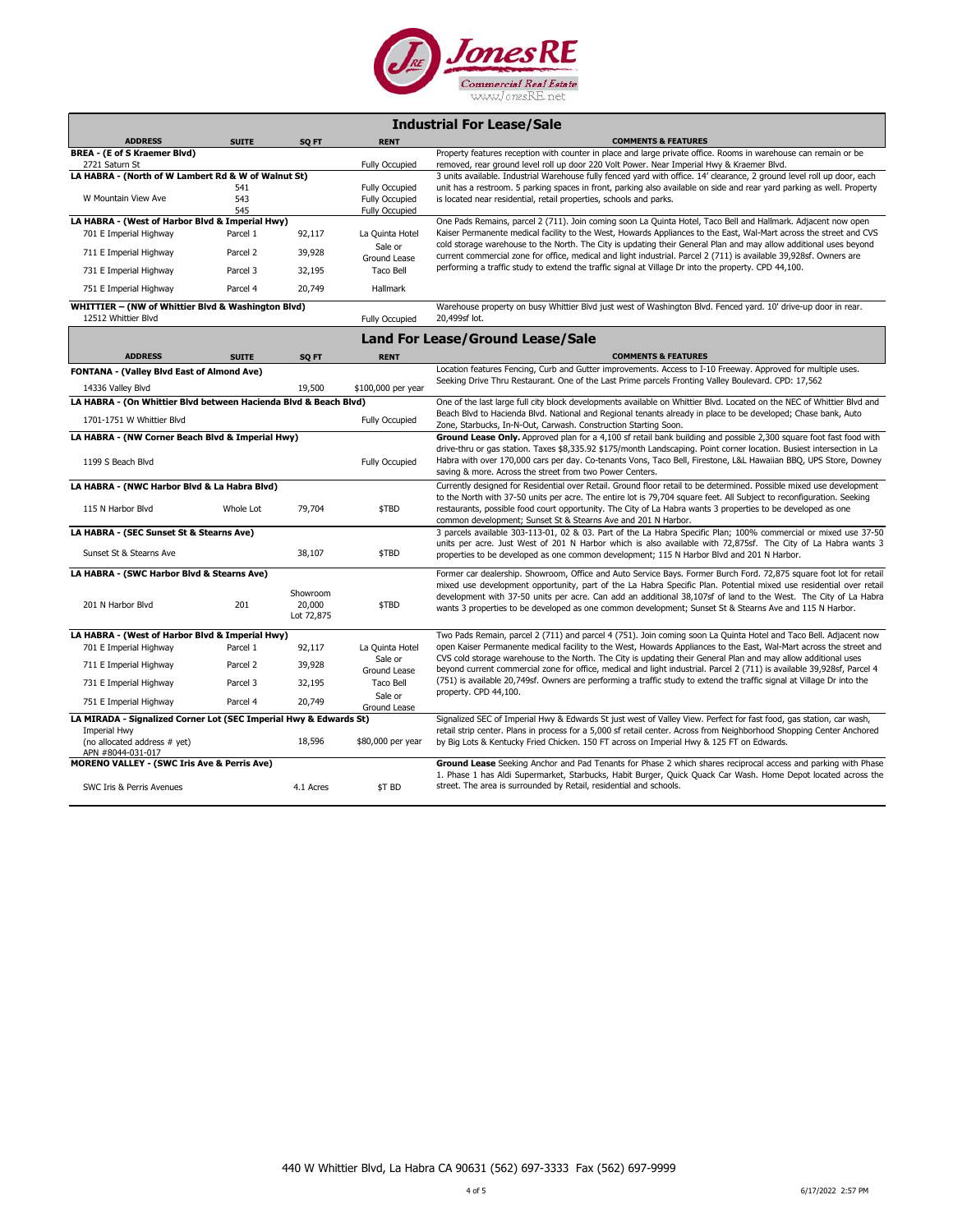

|             | <b>Industrial For Lease/Sale</b> |  |
|-------------|----------------------------------|--|
| <b>RENT</b> |                                  |  |

| BREA - (E of S Kraemer Blvd)<br>Property features reception with counter in place and large private office. Rooms in warehouse can remain or be<br><b>Fully Occupied</b><br>removed, rear ground level roll up door 220 Volt Power. Near Imperial Hwy & Kraemer Blvd.<br>2721 Saturn St<br>LA HABRA - (North of W Lambert Rd & W of Walnut St)<br>3 units available. Industrial Warehouse fully fenced yard with office. 14' clearance, 2 ground level roll up door, each<br><b>Fully Occupied</b><br>unit has a restroom. 5 parking spaces in front, parking also available on side and rear yard parking as well. Property<br>541<br>W Mountain View Ave<br>543<br><b>Fully Occupied</b><br>is located near residential, retail properties, schools and parks.<br>545<br>Fully Occupied<br>LA HABRA - (West of Harbor Blvd & Imperial Hwy)<br>One Pads Remains, parcel 2 (711). Join coming soon La Quinta Hotel, Taco Bell and Hallmark. Adjacent now open<br>Kaiser Permanente medical facility to the West, Howards Appliances to the East, Wal-Mart across the street and CVS<br>92,117<br>701 E Imperial Highway<br>Parcel 1<br>La Quinta Hotel<br>cold storage warehouse to the North. The City is updating their General Plan and may allow additional uses beyond<br>Sale or<br>Parcel 2<br>39,928<br>711 E Imperial Highway<br>current commercial zone for office, medical and light industrial. Parcel 2 (711) is available 39,928sf. Owners are<br>Ground Lease<br>performing a traffic study to extend the traffic signal at Village Dr into the property. CPD 44,100.<br>Parcel 3<br>32,195<br>Taco Bell<br>731 E Imperial Highway<br>20,749<br>751 E Imperial Highway<br>Parcel 4<br><b>Hallmark</b><br>WHITTIER - (NW of Whittier Blvd & Washington Blvd)<br>Warehouse property on busy Whittier Blvd just west of Washington Blvd. Fenced yard. 10' drive-up door in rear.<br>12512 Whittier Blvd<br>20,499sf lot.<br><b>Fully Occupied</b><br><b>Land For Lease/Ground Lease/Sale</b><br><b>ADDRESS</b><br><b>COMMENTS &amp; FEATURES</b><br><b>SUITE</b><br>SQ FT<br><b>RENT</b><br>Location features Fencing, Curb and Gutter improvements. Access to I-10 Freeway. Approved for multiple uses.<br>FONTANA - (Valley Blvd East of Almond Ave)<br>Seeking Drive Thru Restaurant. One of the Last Prime parcels Fronting Valley Boulevard. CPD: 17,562<br>19,500<br>\$100,000 per year<br>14336 Valley Blvd<br>LA HABRA - (On Whittier Blvd between Hacienda Blvd & Beach Blvd)<br>One of the last large full city block developments available on Whittier Blvd. Located on the NEC of Whittier Blvd and<br>Beach Blvd to Hacienda Blvd. National and Regional tenants already in place to be developed; Chase bank, Auto<br>1701-1751 W Whittier Blvd<br>Fully Occupied<br>Zone, Starbucks, In-N-Out, Carwash. Construction Starting Soon.<br>LA HABRA - (NW Corner Beach Blvd & Imperial Hwy)<br>Ground Lease Only. Approved plan for a 4,100 sf retail bank building and possible 2,300 square foot fast food with<br>drive-thru or gas station. Taxes \$8,335.92 \$175/month Landscaping. Point corner location. Busiest intersection in La<br>Habra with over 170,000 cars per day. Co-tenants Vons, Taco Bell, Firestone, L&L Hawaiian BBQ, UPS Store, Downey<br>1199 S Beach Blvd<br><b>Fully Occupied</b><br>saving & more. Across the street from two Power Centers.<br>LA HABRA - (NWC Harbor Blvd & La Habra Blvd)<br>Currently designed for Residential over Retail. Ground floor retail to be determined. Possible mixed use development<br>to the North with 37-50 units per acre. The entire lot is 79,704 square feet. All Subject to reconfiguration. Seeking<br>79,704<br>\$TBD<br>115 N Harbor Blvd<br>Whole Lot<br>restaurants, possible food court opportunity. The City of La Habra wants 3 properties to be developed as one<br>common development; Sunset St & Stearns Ave and 201 N Harbor.<br>LA HABRA - (SEC Sunset St & Stearns Ave)<br>3 parcels available 303-113-01, 02 & 03. Part of the La Habra Specific Plan; 100% commercial or mixed use 37-50<br>units per acre. Just West of 201 N Harbor which is also available with 72,875sf. The City of La Habra wants 3<br>38,107<br>\$TBD<br>Sunset St & Stearns Ave<br>properties to be developed as one common development; 115 N Harbor Blvd and 201 N Harbor.<br>LA HABRA - (SWC Harbor Blvd & Stearns Ave)<br>Former car dealership. Showroom, Office and Auto Service Bays. Former Burch Ford. 72,875 square foot lot for retail<br>mixed use development opportunity, part of the La Habra Specific Plan. Potential mixed use residential over retail<br>Showroom<br>development with 37-50 units per acre. Can add an additional 38,107sf of land to the West. The City of La Habra<br>201<br>\$TBD<br>201 N Harbor Blvd<br>20,000<br>wants 3 properties to be developed as one common development; Sunset St & Stearns Ave and 115 N Harbor.<br>Lot 72,875<br>LA HABRA - (West of Harbor Blvd & Imperial Hwy)<br>Two Pads Remain, parcel 2 (711) and parcel 4 (751). Join coming soon La Quinta Hotel and Taco Bell. Adjacent now<br>open Kaiser Permanente medical facility to the West, Howards Appliances to the East, Wal-Mart across the street and<br>701 E Imperial Highway<br>92,117<br>La Quinta Hotel<br>Parcel 1<br>CVS cold storage warehouse to the North. The City is updating their General Plan and may allow additional uses<br>Sale or<br>711 E Imperial Highway<br>Parcel 2<br>39,928<br>beyond current commercial zone for office, medical and light industrial. Parcel 2 (711) is available 39,928sf, Parcel 4<br>Ground Lease<br>(751) is available 20,749sf. Owners are performing a traffic study to extend the traffic signal at Village Dr into the<br>731 E Imperial Highway<br>Parcel 3<br>32,195<br>Taco Bell<br>property. CPD 44,100.<br>Sale or<br>751 E Imperial Highway<br>Parcel 4<br>20,749<br>Ground Lease<br>LA MIRADA - Signalized Corner Lot (SEC Imperial Hwy & Edwards St)<br>Signalized SEC of Imperial Hwy & Edwards St just west of Valley View. Perfect for fast food, gas station, car wash,<br>Imperial Hwy<br>retail strip center. Plans in process for a 5,000 sf retail center. Across from Neighborhood Shopping Center Anchored<br>18,596<br>\$80,000 per year<br>(no allocated address # yet)<br>by Big Lots & Kentucky Fried Chicken. 150 FT across on Imperial Hwy & 125 FT on Edwards.<br>APN #8044-031-017<br><b>MORENO VALLEY - (SWC Iris Ave &amp; Perris Ave)</b><br>Ground Lease Seeking Anchor and Pad Tenants for Phase 2 which shares reciprocal access and parking with Phase<br>1. Phase 1 has Aldi Supermarket, Starbucks, Habit Burger, Quick Quack Car Wash. Home Depot located across the<br>street. The area is surrounded by Retail, residential and schools.<br>SWC Iris & Perris Avenues<br>4.1 Acres<br>\$T BD | <b>ADDRESS</b> | <b>SUITE</b> | SQ FT | <b>RENT</b> | <b>COMMENTS &amp; FEATURES</b> |
|------------------------------------------------------------------------------------------------------------------------------------------------------------------------------------------------------------------------------------------------------------------------------------------------------------------------------------------------------------------------------------------------------------------------------------------------------------------------------------------------------------------------------------------------------------------------------------------------------------------------------------------------------------------------------------------------------------------------------------------------------------------------------------------------------------------------------------------------------------------------------------------------------------------------------------------------------------------------------------------------------------------------------------------------------------------------------------------------------------------------------------------------------------------------------------------------------------------------------------------------------------------------------------------------------------------------------------------------------------------------------------------------------------------------------------------------------------------------------------------------------------------------------------------------------------------------------------------------------------------------------------------------------------------------------------------------------------------------------------------------------------------------------------------------------------------------------------------------------------------------------------------------------------------------------------------------------------------------------------------------------------------------------------------------------------------------------------------------------------------------------------------------------------------------------------------------------------------------------------------------------------------------------------------------------------------------------------------------------------------------------------------------------------------------------------------------------------------------------------------------------------------------------------------------------------------------------------------------------------------------------------------------------------------------------------------------------------------------------------------------------------------------------------------------------------------------------------------------------------------------------------------------------------------------------------------------------------------------------------------------------------------------------------------------------------------------------------------------------------------------------------------------------------------------------------------------------------------------------------------------------------------------------------------------------------------------------------------------------------------------------------------------------------------------------------------------------------------------------------------------------------------------------------------------------------------------------------------------------------------------------------------------------------------------------------------------------------------------------------------------------------------------------------------------------------------------------------------------------------------------------------------------------------------------------------------------------------------------------------------------------------------------------------------------------------------------------------------------------------------------------------------------------------------------------------------------------------------------------------------------------------------------------------------------------------------------------------------------------------------------------------------------------------------------------------------------------------------------------------------------------------------------------------------------------------------------------------------------------------------------------------------------------------------------------------------------------------------------------------------------------------------------------------------------------------------------------------------------------------------------------------------------------------------------------------------------------------------------------------------------------------------------------------------------------------------------------------------------------------------------------------------------------------------------------------------------------------------------------------------------------------------------------------------------------------------------------------------------------------------------------------------------------------------------------------------------------------------------------------------------------------------------------------------------------------------------------------------------------------------------------------------------------------------------------------------------------------------------------------------------------------------------------------------------------------------------------------------------------------------------------------------------------------------------------------------------------------------------------------------------------------------------------------------------------------------------------------------------------------------------------------------------------------------------------------------------------------------------------------------------------------------------------------------------------------------------------------------------------------------------------------------------------------------------------------------------------------------------------------------------------------------------------------------------------------------------------------------------------------------------------------------------------------------------------------------------------------------------------------------------------------------------------------------------------------------------------------------------------------------------------------------------------|----------------|--------------|-------|-------------|--------------------------------|
|                                                                                                                                                                                                                                                                                                                                                                                                                                                                                                                                                                                                                                                                                                                                                                                                                                                                                                                                                                                                                                                                                                                                                                                                                                                                                                                                                                                                                                                                                                                                                                                                                                                                                                                                                                                                                                                                                                                                                                                                                                                                                                                                                                                                                                                                                                                                                                                                                                                                                                                                                                                                                                                                                                                                                                                                                                                                                                                                                                                                                                                                                                                                                                                                                                                                                                                                                                                                                                                                                                                                                                                                                                                                                                                                                                                                                                                                                                                                                                                                                                                                                                                                                                                                                                                                                                                                                                                                                                                                                                                                                                                                                                                                                                                                                                                                                                                                                                                                                                                                                                                                                                                                                                                                                                                                                                                                                                                                                                                                                                                                                                                                                                                                                                                                                                                                                                                                                                                                                                                                                                                                                                                                                                                                                                                                                                                                                                                                                                                                                                                                                                                                                                                                                                                                                                                                                                                                                                      |                |              |       |             |                                |
|                                                                                                                                                                                                                                                                                                                                                                                                                                                                                                                                                                                                                                                                                                                                                                                                                                                                                                                                                                                                                                                                                                                                                                                                                                                                                                                                                                                                                                                                                                                                                                                                                                                                                                                                                                                                                                                                                                                                                                                                                                                                                                                                                                                                                                                                                                                                                                                                                                                                                                                                                                                                                                                                                                                                                                                                                                                                                                                                                                                                                                                                                                                                                                                                                                                                                                                                                                                                                                                                                                                                                                                                                                                                                                                                                                                                                                                                                                                                                                                                                                                                                                                                                                                                                                                                                                                                                                                                                                                                                                                                                                                                                                                                                                                                                                                                                                                                                                                                                                                                                                                                                                                                                                                                                                                                                                                                                                                                                                                                                                                                                                                                                                                                                                                                                                                                                                                                                                                                                                                                                                                                                                                                                                                                                                                                                                                                                                                                                                                                                                                                                                                                                                                                                                                                                                                                                                                                                                      |                |              |       |             |                                |
|                                                                                                                                                                                                                                                                                                                                                                                                                                                                                                                                                                                                                                                                                                                                                                                                                                                                                                                                                                                                                                                                                                                                                                                                                                                                                                                                                                                                                                                                                                                                                                                                                                                                                                                                                                                                                                                                                                                                                                                                                                                                                                                                                                                                                                                                                                                                                                                                                                                                                                                                                                                                                                                                                                                                                                                                                                                                                                                                                                                                                                                                                                                                                                                                                                                                                                                                                                                                                                                                                                                                                                                                                                                                                                                                                                                                                                                                                                                                                                                                                                                                                                                                                                                                                                                                                                                                                                                                                                                                                                                                                                                                                                                                                                                                                                                                                                                                                                                                                                                                                                                                                                                                                                                                                                                                                                                                                                                                                                                                                                                                                                                                                                                                                                                                                                                                                                                                                                                                                                                                                                                                                                                                                                                                                                                                                                                                                                                                                                                                                                                                                                                                                                                                                                                                                                                                                                                                                                      |                |              |       |             |                                |
|                                                                                                                                                                                                                                                                                                                                                                                                                                                                                                                                                                                                                                                                                                                                                                                                                                                                                                                                                                                                                                                                                                                                                                                                                                                                                                                                                                                                                                                                                                                                                                                                                                                                                                                                                                                                                                                                                                                                                                                                                                                                                                                                                                                                                                                                                                                                                                                                                                                                                                                                                                                                                                                                                                                                                                                                                                                                                                                                                                                                                                                                                                                                                                                                                                                                                                                                                                                                                                                                                                                                                                                                                                                                                                                                                                                                                                                                                                                                                                                                                                                                                                                                                                                                                                                                                                                                                                                                                                                                                                                                                                                                                                                                                                                                                                                                                                                                                                                                                                                                                                                                                                                                                                                                                                                                                                                                                                                                                                                                                                                                                                                                                                                                                                                                                                                                                                                                                                                                                                                                                                                                                                                                                                                                                                                                                                                                                                                                                                                                                                                                                                                                                                                                                                                                                                                                                                                                                                      |                |              |       |             |                                |
|                                                                                                                                                                                                                                                                                                                                                                                                                                                                                                                                                                                                                                                                                                                                                                                                                                                                                                                                                                                                                                                                                                                                                                                                                                                                                                                                                                                                                                                                                                                                                                                                                                                                                                                                                                                                                                                                                                                                                                                                                                                                                                                                                                                                                                                                                                                                                                                                                                                                                                                                                                                                                                                                                                                                                                                                                                                                                                                                                                                                                                                                                                                                                                                                                                                                                                                                                                                                                                                                                                                                                                                                                                                                                                                                                                                                                                                                                                                                                                                                                                                                                                                                                                                                                                                                                                                                                                                                                                                                                                                                                                                                                                                                                                                                                                                                                                                                                                                                                                                                                                                                                                                                                                                                                                                                                                                                                                                                                                                                                                                                                                                                                                                                                                                                                                                                                                                                                                                                                                                                                                                                                                                                                                                                                                                                                                                                                                                                                                                                                                                                                                                                                                                                                                                                                                                                                                                                                                      |                |              |       |             |                                |
|                                                                                                                                                                                                                                                                                                                                                                                                                                                                                                                                                                                                                                                                                                                                                                                                                                                                                                                                                                                                                                                                                                                                                                                                                                                                                                                                                                                                                                                                                                                                                                                                                                                                                                                                                                                                                                                                                                                                                                                                                                                                                                                                                                                                                                                                                                                                                                                                                                                                                                                                                                                                                                                                                                                                                                                                                                                                                                                                                                                                                                                                                                                                                                                                                                                                                                                                                                                                                                                                                                                                                                                                                                                                                                                                                                                                                                                                                                                                                                                                                                                                                                                                                                                                                                                                                                                                                                                                                                                                                                                                                                                                                                                                                                                                                                                                                                                                                                                                                                                                                                                                                                                                                                                                                                                                                                                                                                                                                                                                                                                                                                                                                                                                                                                                                                                                                                                                                                                                                                                                                                                                                                                                                                                                                                                                                                                                                                                                                                                                                                                                                                                                                                                                                                                                                                                                                                                                                                      |                |              |       |             |                                |
|                                                                                                                                                                                                                                                                                                                                                                                                                                                                                                                                                                                                                                                                                                                                                                                                                                                                                                                                                                                                                                                                                                                                                                                                                                                                                                                                                                                                                                                                                                                                                                                                                                                                                                                                                                                                                                                                                                                                                                                                                                                                                                                                                                                                                                                                                                                                                                                                                                                                                                                                                                                                                                                                                                                                                                                                                                                                                                                                                                                                                                                                                                                                                                                                                                                                                                                                                                                                                                                                                                                                                                                                                                                                                                                                                                                                                                                                                                                                                                                                                                                                                                                                                                                                                                                                                                                                                                                                                                                                                                                                                                                                                                                                                                                                                                                                                                                                                                                                                                                                                                                                                                                                                                                                                                                                                                                                                                                                                                                                                                                                                                                                                                                                                                                                                                                                                                                                                                                                                                                                                                                                                                                                                                                                                                                                                                                                                                                                                                                                                                                                                                                                                                                                                                                                                                                                                                                                                                      |                |              |       |             |                                |
|                                                                                                                                                                                                                                                                                                                                                                                                                                                                                                                                                                                                                                                                                                                                                                                                                                                                                                                                                                                                                                                                                                                                                                                                                                                                                                                                                                                                                                                                                                                                                                                                                                                                                                                                                                                                                                                                                                                                                                                                                                                                                                                                                                                                                                                                                                                                                                                                                                                                                                                                                                                                                                                                                                                                                                                                                                                                                                                                                                                                                                                                                                                                                                                                                                                                                                                                                                                                                                                                                                                                                                                                                                                                                                                                                                                                                                                                                                                                                                                                                                                                                                                                                                                                                                                                                                                                                                                                                                                                                                                                                                                                                                                                                                                                                                                                                                                                                                                                                                                                                                                                                                                                                                                                                                                                                                                                                                                                                                                                                                                                                                                                                                                                                                                                                                                                                                                                                                                                                                                                                                                                                                                                                                                                                                                                                                                                                                                                                                                                                                                                                                                                                                                                                                                                                                                                                                                                                                      |                |              |       |             |                                |
|                                                                                                                                                                                                                                                                                                                                                                                                                                                                                                                                                                                                                                                                                                                                                                                                                                                                                                                                                                                                                                                                                                                                                                                                                                                                                                                                                                                                                                                                                                                                                                                                                                                                                                                                                                                                                                                                                                                                                                                                                                                                                                                                                                                                                                                                                                                                                                                                                                                                                                                                                                                                                                                                                                                                                                                                                                                                                                                                                                                                                                                                                                                                                                                                                                                                                                                                                                                                                                                                                                                                                                                                                                                                                                                                                                                                                                                                                                                                                                                                                                                                                                                                                                                                                                                                                                                                                                                                                                                                                                                                                                                                                                                                                                                                                                                                                                                                                                                                                                                                                                                                                                                                                                                                                                                                                                                                                                                                                                                                                                                                                                                                                                                                                                                                                                                                                                                                                                                                                                                                                                                                                                                                                                                                                                                                                                                                                                                                                                                                                                                                                                                                                                                                                                                                                                                                                                                                                                      |                |              |       |             |                                |
|                                                                                                                                                                                                                                                                                                                                                                                                                                                                                                                                                                                                                                                                                                                                                                                                                                                                                                                                                                                                                                                                                                                                                                                                                                                                                                                                                                                                                                                                                                                                                                                                                                                                                                                                                                                                                                                                                                                                                                                                                                                                                                                                                                                                                                                                                                                                                                                                                                                                                                                                                                                                                                                                                                                                                                                                                                                                                                                                                                                                                                                                                                                                                                                                                                                                                                                                                                                                                                                                                                                                                                                                                                                                                                                                                                                                                                                                                                                                                                                                                                                                                                                                                                                                                                                                                                                                                                                                                                                                                                                                                                                                                                                                                                                                                                                                                                                                                                                                                                                                                                                                                                                                                                                                                                                                                                                                                                                                                                                                                                                                                                                                                                                                                                                                                                                                                                                                                                                                                                                                                                                                                                                                                                                                                                                                                                                                                                                                                                                                                                                                                                                                                                                                                                                                                                                                                                                                                                      |                |              |       |             |                                |
|                                                                                                                                                                                                                                                                                                                                                                                                                                                                                                                                                                                                                                                                                                                                                                                                                                                                                                                                                                                                                                                                                                                                                                                                                                                                                                                                                                                                                                                                                                                                                                                                                                                                                                                                                                                                                                                                                                                                                                                                                                                                                                                                                                                                                                                                                                                                                                                                                                                                                                                                                                                                                                                                                                                                                                                                                                                                                                                                                                                                                                                                                                                                                                                                                                                                                                                                                                                                                                                                                                                                                                                                                                                                                                                                                                                                                                                                                                                                                                                                                                                                                                                                                                                                                                                                                                                                                                                                                                                                                                                                                                                                                                                                                                                                                                                                                                                                                                                                                                                                                                                                                                                                                                                                                                                                                                                                                                                                                                                                                                                                                                                                                                                                                                                                                                                                                                                                                                                                                                                                                                                                                                                                                                                                                                                                                                                                                                                                                                                                                                                                                                                                                                                                                                                                                                                                                                                                                                      |                |              |       |             |                                |
|                                                                                                                                                                                                                                                                                                                                                                                                                                                                                                                                                                                                                                                                                                                                                                                                                                                                                                                                                                                                                                                                                                                                                                                                                                                                                                                                                                                                                                                                                                                                                                                                                                                                                                                                                                                                                                                                                                                                                                                                                                                                                                                                                                                                                                                                                                                                                                                                                                                                                                                                                                                                                                                                                                                                                                                                                                                                                                                                                                                                                                                                                                                                                                                                                                                                                                                                                                                                                                                                                                                                                                                                                                                                                                                                                                                                                                                                                                                                                                                                                                                                                                                                                                                                                                                                                                                                                                                                                                                                                                                                                                                                                                                                                                                                                                                                                                                                                                                                                                                                                                                                                                                                                                                                                                                                                                                                                                                                                                                                                                                                                                                                                                                                                                                                                                                                                                                                                                                                                                                                                                                                                                                                                                                                                                                                                                                                                                                                                                                                                                                                                                                                                                                                                                                                                                                                                                                                                                      |                |              |       |             |                                |
|                                                                                                                                                                                                                                                                                                                                                                                                                                                                                                                                                                                                                                                                                                                                                                                                                                                                                                                                                                                                                                                                                                                                                                                                                                                                                                                                                                                                                                                                                                                                                                                                                                                                                                                                                                                                                                                                                                                                                                                                                                                                                                                                                                                                                                                                                                                                                                                                                                                                                                                                                                                                                                                                                                                                                                                                                                                                                                                                                                                                                                                                                                                                                                                                                                                                                                                                                                                                                                                                                                                                                                                                                                                                                                                                                                                                                                                                                                                                                                                                                                                                                                                                                                                                                                                                                                                                                                                                                                                                                                                                                                                                                                                                                                                                                                                                                                                                                                                                                                                                                                                                                                                                                                                                                                                                                                                                                                                                                                                                                                                                                                                                                                                                                                                                                                                                                                                                                                                                                                                                                                                                                                                                                                                                                                                                                                                                                                                                                                                                                                                                                                                                                                                                                                                                                                                                                                                                                                      |                |              |       |             |                                |
|                                                                                                                                                                                                                                                                                                                                                                                                                                                                                                                                                                                                                                                                                                                                                                                                                                                                                                                                                                                                                                                                                                                                                                                                                                                                                                                                                                                                                                                                                                                                                                                                                                                                                                                                                                                                                                                                                                                                                                                                                                                                                                                                                                                                                                                                                                                                                                                                                                                                                                                                                                                                                                                                                                                                                                                                                                                                                                                                                                                                                                                                                                                                                                                                                                                                                                                                                                                                                                                                                                                                                                                                                                                                                                                                                                                                                                                                                                                                                                                                                                                                                                                                                                                                                                                                                                                                                                                                                                                                                                                                                                                                                                                                                                                                                                                                                                                                                                                                                                                                                                                                                                                                                                                                                                                                                                                                                                                                                                                                                                                                                                                                                                                                                                                                                                                                                                                                                                                                                                                                                                                                                                                                                                                                                                                                                                                                                                                                                                                                                                                                                                                                                                                                                                                                                                                                                                                                                                      |                |              |       |             |                                |
|                                                                                                                                                                                                                                                                                                                                                                                                                                                                                                                                                                                                                                                                                                                                                                                                                                                                                                                                                                                                                                                                                                                                                                                                                                                                                                                                                                                                                                                                                                                                                                                                                                                                                                                                                                                                                                                                                                                                                                                                                                                                                                                                                                                                                                                                                                                                                                                                                                                                                                                                                                                                                                                                                                                                                                                                                                                                                                                                                                                                                                                                                                                                                                                                                                                                                                                                                                                                                                                                                                                                                                                                                                                                                                                                                                                                                                                                                                                                                                                                                                                                                                                                                                                                                                                                                                                                                                                                                                                                                                                                                                                                                                                                                                                                                                                                                                                                                                                                                                                                                                                                                                                                                                                                                                                                                                                                                                                                                                                                                                                                                                                                                                                                                                                                                                                                                                                                                                                                                                                                                                                                                                                                                                                                                                                                                                                                                                                                                                                                                                                                                                                                                                                                                                                                                                                                                                                                                                      |                |              |       |             |                                |
|                                                                                                                                                                                                                                                                                                                                                                                                                                                                                                                                                                                                                                                                                                                                                                                                                                                                                                                                                                                                                                                                                                                                                                                                                                                                                                                                                                                                                                                                                                                                                                                                                                                                                                                                                                                                                                                                                                                                                                                                                                                                                                                                                                                                                                                                                                                                                                                                                                                                                                                                                                                                                                                                                                                                                                                                                                                                                                                                                                                                                                                                                                                                                                                                                                                                                                                                                                                                                                                                                                                                                                                                                                                                                                                                                                                                                                                                                                                                                                                                                                                                                                                                                                                                                                                                                                                                                                                                                                                                                                                                                                                                                                                                                                                                                                                                                                                                                                                                                                                                                                                                                                                                                                                                                                                                                                                                                                                                                                                                                                                                                                                                                                                                                                                                                                                                                                                                                                                                                                                                                                                                                                                                                                                                                                                                                                                                                                                                                                                                                                                                                                                                                                                                                                                                                                                                                                                                                                      |                |              |       |             |                                |
|                                                                                                                                                                                                                                                                                                                                                                                                                                                                                                                                                                                                                                                                                                                                                                                                                                                                                                                                                                                                                                                                                                                                                                                                                                                                                                                                                                                                                                                                                                                                                                                                                                                                                                                                                                                                                                                                                                                                                                                                                                                                                                                                                                                                                                                                                                                                                                                                                                                                                                                                                                                                                                                                                                                                                                                                                                                                                                                                                                                                                                                                                                                                                                                                                                                                                                                                                                                                                                                                                                                                                                                                                                                                                                                                                                                                                                                                                                                                                                                                                                                                                                                                                                                                                                                                                                                                                                                                                                                                                                                                                                                                                                                                                                                                                                                                                                                                                                                                                                                                                                                                                                                                                                                                                                                                                                                                                                                                                                                                                                                                                                                                                                                                                                                                                                                                                                                                                                                                                                                                                                                                                                                                                                                                                                                                                                                                                                                                                                                                                                                                                                                                                                                                                                                                                                                                                                                                                                      |                |              |       |             |                                |
|                                                                                                                                                                                                                                                                                                                                                                                                                                                                                                                                                                                                                                                                                                                                                                                                                                                                                                                                                                                                                                                                                                                                                                                                                                                                                                                                                                                                                                                                                                                                                                                                                                                                                                                                                                                                                                                                                                                                                                                                                                                                                                                                                                                                                                                                                                                                                                                                                                                                                                                                                                                                                                                                                                                                                                                                                                                                                                                                                                                                                                                                                                                                                                                                                                                                                                                                                                                                                                                                                                                                                                                                                                                                                                                                                                                                                                                                                                                                                                                                                                                                                                                                                                                                                                                                                                                                                                                                                                                                                                                                                                                                                                                                                                                                                                                                                                                                                                                                                                                                                                                                                                                                                                                                                                                                                                                                                                                                                                                                                                                                                                                                                                                                                                                                                                                                                                                                                                                                                                                                                                                                                                                                                                                                                                                                                                                                                                                                                                                                                                                                                                                                                                                                                                                                                                                                                                                                                                      |                |              |       |             |                                |
|                                                                                                                                                                                                                                                                                                                                                                                                                                                                                                                                                                                                                                                                                                                                                                                                                                                                                                                                                                                                                                                                                                                                                                                                                                                                                                                                                                                                                                                                                                                                                                                                                                                                                                                                                                                                                                                                                                                                                                                                                                                                                                                                                                                                                                                                                                                                                                                                                                                                                                                                                                                                                                                                                                                                                                                                                                                                                                                                                                                                                                                                                                                                                                                                                                                                                                                                                                                                                                                                                                                                                                                                                                                                                                                                                                                                                                                                                                                                                                                                                                                                                                                                                                                                                                                                                                                                                                                                                                                                                                                                                                                                                                                                                                                                                                                                                                                                                                                                                                                                                                                                                                                                                                                                                                                                                                                                                                                                                                                                                                                                                                                                                                                                                                                                                                                                                                                                                                                                                                                                                                                                                                                                                                                                                                                                                                                                                                                                                                                                                                                                                                                                                                                                                                                                                                                                                                                                                                      |                |              |       |             |                                |
|                                                                                                                                                                                                                                                                                                                                                                                                                                                                                                                                                                                                                                                                                                                                                                                                                                                                                                                                                                                                                                                                                                                                                                                                                                                                                                                                                                                                                                                                                                                                                                                                                                                                                                                                                                                                                                                                                                                                                                                                                                                                                                                                                                                                                                                                                                                                                                                                                                                                                                                                                                                                                                                                                                                                                                                                                                                                                                                                                                                                                                                                                                                                                                                                                                                                                                                                                                                                                                                                                                                                                                                                                                                                                                                                                                                                                                                                                                                                                                                                                                                                                                                                                                                                                                                                                                                                                                                                                                                                                                                                                                                                                                                                                                                                                                                                                                                                                                                                                                                                                                                                                                                                                                                                                                                                                                                                                                                                                                                                                                                                                                                                                                                                                                                                                                                                                                                                                                                                                                                                                                                                                                                                                                                                                                                                                                                                                                                                                                                                                                                                                                                                                                                                                                                                                                                                                                                                                                      |                |              |       |             |                                |
|                                                                                                                                                                                                                                                                                                                                                                                                                                                                                                                                                                                                                                                                                                                                                                                                                                                                                                                                                                                                                                                                                                                                                                                                                                                                                                                                                                                                                                                                                                                                                                                                                                                                                                                                                                                                                                                                                                                                                                                                                                                                                                                                                                                                                                                                                                                                                                                                                                                                                                                                                                                                                                                                                                                                                                                                                                                                                                                                                                                                                                                                                                                                                                                                                                                                                                                                                                                                                                                                                                                                                                                                                                                                                                                                                                                                                                                                                                                                                                                                                                                                                                                                                                                                                                                                                                                                                                                                                                                                                                                                                                                                                                                                                                                                                                                                                                                                                                                                                                                                                                                                                                                                                                                                                                                                                                                                                                                                                                                                                                                                                                                                                                                                                                                                                                                                                                                                                                                                                                                                                                                                                                                                                                                                                                                                                                                                                                                                                                                                                                                                                                                                                                                                                                                                                                                                                                                                                                      |                |              |       |             |                                |
|                                                                                                                                                                                                                                                                                                                                                                                                                                                                                                                                                                                                                                                                                                                                                                                                                                                                                                                                                                                                                                                                                                                                                                                                                                                                                                                                                                                                                                                                                                                                                                                                                                                                                                                                                                                                                                                                                                                                                                                                                                                                                                                                                                                                                                                                                                                                                                                                                                                                                                                                                                                                                                                                                                                                                                                                                                                                                                                                                                                                                                                                                                                                                                                                                                                                                                                                                                                                                                                                                                                                                                                                                                                                                                                                                                                                                                                                                                                                                                                                                                                                                                                                                                                                                                                                                                                                                                                                                                                                                                                                                                                                                                                                                                                                                                                                                                                                                                                                                                                                                                                                                                                                                                                                                                                                                                                                                                                                                                                                                                                                                                                                                                                                                                                                                                                                                                                                                                                                                                                                                                                                                                                                                                                                                                                                                                                                                                                                                                                                                                                                                                                                                                                                                                                                                                                                                                                                                                      |                |              |       |             |                                |
|                                                                                                                                                                                                                                                                                                                                                                                                                                                                                                                                                                                                                                                                                                                                                                                                                                                                                                                                                                                                                                                                                                                                                                                                                                                                                                                                                                                                                                                                                                                                                                                                                                                                                                                                                                                                                                                                                                                                                                                                                                                                                                                                                                                                                                                                                                                                                                                                                                                                                                                                                                                                                                                                                                                                                                                                                                                                                                                                                                                                                                                                                                                                                                                                                                                                                                                                                                                                                                                                                                                                                                                                                                                                                                                                                                                                                                                                                                                                                                                                                                                                                                                                                                                                                                                                                                                                                                                                                                                                                                                                                                                                                                                                                                                                                                                                                                                                                                                                                                                                                                                                                                                                                                                                                                                                                                                                                                                                                                                                                                                                                                                                                                                                                                                                                                                                                                                                                                                                                                                                                                                                                                                                                                                                                                                                                                                                                                                                                                                                                                                                                                                                                                                                                                                                                                                                                                                                                                      |                |              |       |             |                                |
|                                                                                                                                                                                                                                                                                                                                                                                                                                                                                                                                                                                                                                                                                                                                                                                                                                                                                                                                                                                                                                                                                                                                                                                                                                                                                                                                                                                                                                                                                                                                                                                                                                                                                                                                                                                                                                                                                                                                                                                                                                                                                                                                                                                                                                                                                                                                                                                                                                                                                                                                                                                                                                                                                                                                                                                                                                                                                                                                                                                                                                                                                                                                                                                                                                                                                                                                                                                                                                                                                                                                                                                                                                                                                                                                                                                                                                                                                                                                                                                                                                                                                                                                                                                                                                                                                                                                                                                                                                                                                                                                                                                                                                                                                                                                                                                                                                                                                                                                                                                                                                                                                                                                                                                                                                                                                                                                                                                                                                                                                                                                                                                                                                                                                                                                                                                                                                                                                                                                                                                                                                                                                                                                                                                                                                                                                                                                                                                                                                                                                                                                                                                                                                                                                                                                                                                                                                                                                                      |                |              |       |             |                                |
|                                                                                                                                                                                                                                                                                                                                                                                                                                                                                                                                                                                                                                                                                                                                                                                                                                                                                                                                                                                                                                                                                                                                                                                                                                                                                                                                                                                                                                                                                                                                                                                                                                                                                                                                                                                                                                                                                                                                                                                                                                                                                                                                                                                                                                                                                                                                                                                                                                                                                                                                                                                                                                                                                                                                                                                                                                                                                                                                                                                                                                                                                                                                                                                                                                                                                                                                                                                                                                                                                                                                                                                                                                                                                                                                                                                                                                                                                                                                                                                                                                                                                                                                                                                                                                                                                                                                                                                                                                                                                                                                                                                                                                                                                                                                                                                                                                                                                                                                                                                                                                                                                                                                                                                                                                                                                                                                                                                                                                                                                                                                                                                                                                                                                                                                                                                                                                                                                                                                                                                                                                                                                                                                                                                                                                                                                                                                                                                                                                                                                                                                                                                                                                                                                                                                                                                                                                                                                                      |                |              |       |             |                                |
|                                                                                                                                                                                                                                                                                                                                                                                                                                                                                                                                                                                                                                                                                                                                                                                                                                                                                                                                                                                                                                                                                                                                                                                                                                                                                                                                                                                                                                                                                                                                                                                                                                                                                                                                                                                                                                                                                                                                                                                                                                                                                                                                                                                                                                                                                                                                                                                                                                                                                                                                                                                                                                                                                                                                                                                                                                                                                                                                                                                                                                                                                                                                                                                                                                                                                                                                                                                                                                                                                                                                                                                                                                                                                                                                                                                                                                                                                                                                                                                                                                                                                                                                                                                                                                                                                                                                                                                                                                                                                                                                                                                                                                                                                                                                                                                                                                                                                                                                                                                                                                                                                                                                                                                                                                                                                                                                                                                                                                                                                                                                                                                                                                                                                                                                                                                                                                                                                                                                                                                                                                                                                                                                                                                                                                                                                                                                                                                                                                                                                                                                                                                                                                                                                                                                                                                                                                                                                                      |                |              |       |             |                                |
|                                                                                                                                                                                                                                                                                                                                                                                                                                                                                                                                                                                                                                                                                                                                                                                                                                                                                                                                                                                                                                                                                                                                                                                                                                                                                                                                                                                                                                                                                                                                                                                                                                                                                                                                                                                                                                                                                                                                                                                                                                                                                                                                                                                                                                                                                                                                                                                                                                                                                                                                                                                                                                                                                                                                                                                                                                                                                                                                                                                                                                                                                                                                                                                                                                                                                                                                                                                                                                                                                                                                                                                                                                                                                                                                                                                                                                                                                                                                                                                                                                                                                                                                                                                                                                                                                                                                                                                                                                                                                                                                                                                                                                                                                                                                                                                                                                                                                                                                                                                                                                                                                                                                                                                                                                                                                                                                                                                                                                                                                                                                                                                                                                                                                                                                                                                                                                                                                                                                                                                                                                                                                                                                                                                                                                                                                                                                                                                                                                                                                                                                                                                                                                                                                                                                                                                                                                                                                                      |                |              |       |             |                                |
|                                                                                                                                                                                                                                                                                                                                                                                                                                                                                                                                                                                                                                                                                                                                                                                                                                                                                                                                                                                                                                                                                                                                                                                                                                                                                                                                                                                                                                                                                                                                                                                                                                                                                                                                                                                                                                                                                                                                                                                                                                                                                                                                                                                                                                                                                                                                                                                                                                                                                                                                                                                                                                                                                                                                                                                                                                                                                                                                                                                                                                                                                                                                                                                                                                                                                                                                                                                                                                                                                                                                                                                                                                                                                                                                                                                                                                                                                                                                                                                                                                                                                                                                                                                                                                                                                                                                                                                                                                                                                                                                                                                                                                                                                                                                                                                                                                                                                                                                                                                                                                                                                                                                                                                                                                                                                                                                                                                                                                                                                                                                                                                                                                                                                                                                                                                                                                                                                                                                                                                                                                                                                                                                                                                                                                                                                                                                                                                                                                                                                                                                                                                                                                                                                                                                                                                                                                                                                                      |                |              |       |             |                                |
|                                                                                                                                                                                                                                                                                                                                                                                                                                                                                                                                                                                                                                                                                                                                                                                                                                                                                                                                                                                                                                                                                                                                                                                                                                                                                                                                                                                                                                                                                                                                                                                                                                                                                                                                                                                                                                                                                                                                                                                                                                                                                                                                                                                                                                                                                                                                                                                                                                                                                                                                                                                                                                                                                                                                                                                                                                                                                                                                                                                                                                                                                                                                                                                                                                                                                                                                                                                                                                                                                                                                                                                                                                                                                                                                                                                                                                                                                                                                                                                                                                                                                                                                                                                                                                                                                                                                                                                                                                                                                                                                                                                                                                                                                                                                                                                                                                                                                                                                                                                                                                                                                                                                                                                                                                                                                                                                                                                                                                                                                                                                                                                                                                                                                                                                                                                                                                                                                                                                                                                                                                                                                                                                                                                                                                                                                                                                                                                                                                                                                                                                                                                                                                                                                                                                                                                                                                                                                                      |                |              |       |             |                                |
|                                                                                                                                                                                                                                                                                                                                                                                                                                                                                                                                                                                                                                                                                                                                                                                                                                                                                                                                                                                                                                                                                                                                                                                                                                                                                                                                                                                                                                                                                                                                                                                                                                                                                                                                                                                                                                                                                                                                                                                                                                                                                                                                                                                                                                                                                                                                                                                                                                                                                                                                                                                                                                                                                                                                                                                                                                                                                                                                                                                                                                                                                                                                                                                                                                                                                                                                                                                                                                                                                                                                                                                                                                                                                                                                                                                                                                                                                                                                                                                                                                                                                                                                                                                                                                                                                                                                                                                                                                                                                                                                                                                                                                                                                                                                                                                                                                                                                                                                                                                                                                                                                                                                                                                                                                                                                                                                                                                                                                                                                                                                                                                                                                                                                                                                                                                                                                                                                                                                                                                                                                                                                                                                                                                                                                                                                                                                                                                                                                                                                                                                                                                                                                                                                                                                                                                                                                                                                                      |                |              |       |             |                                |
|                                                                                                                                                                                                                                                                                                                                                                                                                                                                                                                                                                                                                                                                                                                                                                                                                                                                                                                                                                                                                                                                                                                                                                                                                                                                                                                                                                                                                                                                                                                                                                                                                                                                                                                                                                                                                                                                                                                                                                                                                                                                                                                                                                                                                                                                                                                                                                                                                                                                                                                                                                                                                                                                                                                                                                                                                                                                                                                                                                                                                                                                                                                                                                                                                                                                                                                                                                                                                                                                                                                                                                                                                                                                                                                                                                                                                                                                                                                                                                                                                                                                                                                                                                                                                                                                                                                                                                                                                                                                                                                                                                                                                                                                                                                                                                                                                                                                                                                                                                                                                                                                                                                                                                                                                                                                                                                                                                                                                                                                                                                                                                                                                                                                                                                                                                                                                                                                                                                                                                                                                                                                                                                                                                                                                                                                                                                                                                                                                                                                                                                                                                                                                                                                                                                                                                                                                                                                                                      |                |              |       |             |                                |
|                                                                                                                                                                                                                                                                                                                                                                                                                                                                                                                                                                                                                                                                                                                                                                                                                                                                                                                                                                                                                                                                                                                                                                                                                                                                                                                                                                                                                                                                                                                                                                                                                                                                                                                                                                                                                                                                                                                                                                                                                                                                                                                                                                                                                                                                                                                                                                                                                                                                                                                                                                                                                                                                                                                                                                                                                                                                                                                                                                                                                                                                                                                                                                                                                                                                                                                                                                                                                                                                                                                                                                                                                                                                                                                                                                                                                                                                                                                                                                                                                                                                                                                                                                                                                                                                                                                                                                                                                                                                                                                                                                                                                                                                                                                                                                                                                                                                                                                                                                                                                                                                                                                                                                                                                                                                                                                                                                                                                                                                                                                                                                                                                                                                                                                                                                                                                                                                                                                                                                                                                                                                                                                                                                                                                                                                                                                                                                                                                                                                                                                                                                                                                                                                                                                                                                                                                                                                                                      |                |              |       |             |                                |
|                                                                                                                                                                                                                                                                                                                                                                                                                                                                                                                                                                                                                                                                                                                                                                                                                                                                                                                                                                                                                                                                                                                                                                                                                                                                                                                                                                                                                                                                                                                                                                                                                                                                                                                                                                                                                                                                                                                                                                                                                                                                                                                                                                                                                                                                                                                                                                                                                                                                                                                                                                                                                                                                                                                                                                                                                                                                                                                                                                                                                                                                                                                                                                                                                                                                                                                                                                                                                                                                                                                                                                                                                                                                                                                                                                                                                                                                                                                                                                                                                                                                                                                                                                                                                                                                                                                                                                                                                                                                                                                                                                                                                                                                                                                                                                                                                                                                                                                                                                                                                                                                                                                                                                                                                                                                                                                                                                                                                                                                                                                                                                                                                                                                                                                                                                                                                                                                                                                                                                                                                                                                                                                                                                                                                                                                                                                                                                                                                                                                                                                                                                                                                                                                                                                                                                                                                                                                                                      |                |              |       |             |                                |
|                                                                                                                                                                                                                                                                                                                                                                                                                                                                                                                                                                                                                                                                                                                                                                                                                                                                                                                                                                                                                                                                                                                                                                                                                                                                                                                                                                                                                                                                                                                                                                                                                                                                                                                                                                                                                                                                                                                                                                                                                                                                                                                                                                                                                                                                                                                                                                                                                                                                                                                                                                                                                                                                                                                                                                                                                                                                                                                                                                                                                                                                                                                                                                                                                                                                                                                                                                                                                                                                                                                                                                                                                                                                                                                                                                                                                                                                                                                                                                                                                                                                                                                                                                                                                                                                                                                                                                                                                                                                                                                                                                                                                                                                                                                                                                                                                                                                                                                                                                                                                                                                                                                                                                                                                                                                                                                                                                                                                                                                                                                                                                                                                                                                                                                                                                                                                                                                                                                                                                                                                                                                                                                                                                                                                                                                                                                                                                                                                                                                                                                                                                                                                                                                                                                                                                                                                                                                                                      |                |              |       |             |                                |
|                                                                                                                                                                                                                                                                                                                                                                                                                                                                                                                                                                                                                                                                                                                                                                                                                                                                                                                                                                                                                                                                                                                                                                                                                                                                                                                                                                                                                                                                                                                                                                                                                                                                                                                                                                                                                                                                                                                                                                                                                                                                                                                                                                                                                                                                                                                                                                                                                                                                                                                                                                                                                                                                                                                                                                                                                                                                                                                                                                                                                                                                                                                                                                                                                                                                                                                                                                                                                                                                                                                                                                                                                                                                                                                                                                                                                                                                                                                                                                                                                                                                                                                                                                                                                                                                                                                                                                                                                                                                                                                                                                                                                                                                                                                                                                                                                                                                                                                                                                                                                                                                                                                                                                                                                                                                                                                                                                                                                                                                                                                                                                                                                                                                                                                                                                                                                                                                                                                                                                                                                                                                                                                                                                                                                                                                                                                                                                                                                                                                                                                                                                                                                                                                                                                                                                                                                                                                                                      |                |              |       |             |                                |
|                                                                                                                                                                                                                                                                                                                                                                                                                                                                                                                                                                                                                                                                                                                                                                                                                                                                                                                                                                                                                                                                                                                                                                                                                                                                                                                                                                                                                                                                                                                                                                                                                                                                                                                                                                                                                                                                                                                                                                                                                                                                                                                                                                                                                                                                                                                                                                                                                                                                                                                                                                                                                                                                                                                                                                                                                                                                                                                                                                                                                                                                                                                                                                                                                                                                                                                                                                                                                                                                                                                                                                                                                                                                                                                                                                                                                                                                                                                                                                                                                                                                                                                                                                                                                                                                                                                                                                                                                                                                                                                                                                                                                                                                                                                                                                                                                                                                                                                                                                                                                                                                                                                                                                                                                                                                                                                                                                                                                                                                                                                                                                                                                                                                                                                                                                                                                                                                                                                                                                                                                                                                                                                                                                                                                                                                                                                                                                                                                                                                                                                                                                                                                                                                                                                                                                                                                                                                                                      |                |              |       |             |                                |
|                                                                                                                                                                                                                                                                                                                                                                                                                                                                                                                                                                                                                                                                                                                                                                                                                                                                                                                                                                                                                                                                                                                                                                                                                                                                                                                                                                                                                                                                                                                                                                                                                                                                                                                                                                                                                                                                                                                                                                                                                                                                                                                                                                                                                                                                                                                                                                                                                                                                                                                                                                                                                                                                                                                                                                                                                                                                                                                                                                                                                                                                                                                                                                                                                                                                                                                                                                                                                                                                                                                                                                                                                                                                                                                                                                                                                                                                                                                                                                                                                                                                                                                                                                                                                                                                                                                                                                                                                                                                                                                                                                                                                                                                                                                                                                                                                                                                                                                                                                                                                                                                                                                                                                                                                                                                                                                                                                                                                                                                                                                                                                                                                                                                                                                                                                                                                                                                                                                                                                                                                                                                                                                                                                                                                                                                                                                                                                                                                                                                                                                                                                                                                                                                                                                                                                                                                                                                                                      |                |              |       |             |                                |
|                                                                                                                                                                                                                                                                                                                                                                                                                                                                                                                                                                                                                                                                                                                                                                                                                                                                                                                                                                                                                                                                                                                                                                                                                                                                                                                                                                                                                                                                                                                                                                                                                                                                                                                                                                                                                                                                                                                                                                                                                                                                                                                                                                                                                                                                                                                                                                                                                                                                                                                                                                                                                                                                                                                                                                                                                                                                                                                                                                                                                                                                                                                                                                                                                                                                                                                                                                                                                                                                                                                                                                                                                                                                                                                                                                                                                                                                                                                                                                                                                                                                                                                                                                                                                                                                                                                                                                                                                                                                                                                                                                                                                                                                                                                                                                                                                                                                                                                                                                                                                                                                                                                                                                                                                                                                                                                                                                                                                                                                                                                                                                                                                                                                                                                                                                                                                                                                                                                                                                                                                                                                                                                                                                                                                                                                                                                                                                                                                                                                                                                                                                                                                                                                                                                                                                                                                                                                                                      |                |              |       |             |                                |
|                                                                                                                                                                                                                                                                                                                                                                                                                                                                                                                                                                                                                                                                                                                                                                                                                                                                                                                                                                                                                                                                                                                                                                                                                                                                                                                                                                                                                                                                                                                                                                                                                                                                                                                                                                                                                                                                                                                                                                                                                                                                                                                                                                                                                                                                                                                                                                                                                                                                                                                                                                                                                                                                                                                                                                                                                                                                                                                                                                                                                                                                                                                                                                                                                                                                                                                                                                                                                                                                                                                                                                                                                                                                                                                                                                                                                                                                                                                                                                                                                                                                                                                                                                                                                                                                                                                                                                                                                                                                                                                                                                                                                                                                                                                                                                                                                                                                                                                                                                                                                                                                                                                                                                                                                                                                                                                                                                                                                                                                                                                                                                                                                                                                                                                                                                                                                                                                                                                                                                                                                                                                                                                                                                                                                                                                                                                                                                                                                                                                                                                                                                                                                                                                                                                                                                                                                                                                                                      |                |              |       |             |                                |
|                                                                                                                                                                                                                                                                                                                                                                                                                                                                                                                                                                                                                                                                                                                                                                                                                                                                                                                                                                                                                                                                                                                                                                                                                                                                                                                                                                                                                                                                                                                                                                                                                                                                                                                                                                                                                                                                                                                                                                                                                                                                                                                                                                                                                                                                                                                                                                                                                                                                                                                                                                                                                                                                                                                                                                                                                                                                                                                                                                                                                                                                                                                                                                                                                                                                                                                                                                                                                                                                                                                                                                                                                                                                                                                                                                                                                                                                                                                                                                                                                                                                                                                                                                                                                                                                                                                                                                                                                                                                                                                                                                                                                                                                                                                                                                                                                                                                                                                                                                                                                                                                                                                                                                                                                                                                                                                                                                                                                                                                                                                                                                                                                                                                                                                                                                                                                                                                                                                                                                                                                                                                                                                                                                                                                                                                                                                                                                                                                                                                                                                                                                                                                                                                                                                                                                                                                                                                                                      |                |              |       |             |                                |
|                                                                                                                                                                                                                                                                                                                                                                                                                                                                                                                                                                                                                                                                                                                                                                                                                                                                                                                                                                                                                                                                                                                                                                                                                                                                                                                                                                                                                                                                                                                                                                                                                                                                                                                                                                                                                                                                                                                                                                                                                                                                                                                                                                                                                                                                                                                                                                                                                                                                                                                                                                                                                                                                                                                                                                                                                                                                                                                                                                                                                                                                                                                                                                                                                                                                                                                                                                                                                                                                                                                                                                                                                                                                                                                                                                                                                                                                                                                                                                                                                                                                                                                                                                                                                                                                                                                                                                                                                                                                                                                                                                                                                                                                                                                                                                                                                                                                                                                                                                                                                                                                                                                                                                                                                                                                                                                                                                                                                                                                                                                                                                                                                                                                                                                                                                                                                                                                                                                                                                                                                                                                                                                                                                                                                                                                                                                                                                                                                                                                                                                                                                                                                                                                                                                                                                                                                                                                                                      |                |              |       |             |                                |
|                                                                                                                                                                                                                                                                                                                                                                                                                                                                                                                                                                                                                                                                                                                                                                                                                                                                                                                                                                                                                                                                                                                                                                                                                                                                                                                                                                                                                                                                                                                                                                                                                                                                                                                                                                                                                                                                                                                                                                                                                                                                                                                                                                                                                                                                                                                                                                                                                                                                                                                                                                                                                                                                                                                                                                                                                                                                                                                                                                                                                                                                                                                                                                                                                                                                                                                                                                                                                                                                                                                                                                                                                                                                                                                                                                                                                                                                                                                                                                                                                                                                                                                                                                                                                                                                                                                                                                                                                                                                                                                                                                                                                                                                                                                                                                                                                                                                                                                                                                                                                                                                                                                                                                                                                                                                                                                                                                                                                                                                                                                                                                                                                                                                                                                                                                                                                                                                                                                                                                                                                                                                                                                                                                                                                                                                                                                                                                                                                                                                                                                                                                                                                                                                                                                                                                                                                                                                                                      |                |              |       |             |                                |
|                                                                                                                                                                                                                                                                                                                                                                                                                                                                                                                                                                                                                                                                                                                                                                                                                                                                                                                                                                                                                                                                                                                                                                                                                                                                                                                                                                                                                                                                                                                                                                                                                                                                                                                                                                                                                                                                                                                                                                                                                                                                                                                                                                                                                                                                                                                                                                                                                                                                                                                                                                                                                                                                                                                                                                                                                                                                                                                                                                                                                                                                                                                                                                                                                                                                                                                                                                                                                                                                                                                                                                                                                                                                                                                                                                                                                                                                                                                                                                                                                                                                                                                                                                                                                                                                                                                                                                                                                                                                                                                                                                                                                                                                                                                                                                                                                                                                                                                                                                                                                                                                                                                                                                                                                                                                                                                                                                                                                                                                                                                                                                                                                                                                                                                                                                                                                                                                                                                                                                                                                                                                                                                                                                                                                                                                                                                                                                                                                                                                                                                                                                                                                                                                                                                                                                                                                                                                                                      |                |              |       |             |                                |
|                                                                                                                                                                                                                                                                                                                                                                                                                                                                                                                                                                                                                                                                                                                                                                                                                                                                                                                                                                                                                                                                                                                                                                                                                                                                                                                                                                                                                                                                                                                                                                                                                                                                                                                                                                                                                                                                                                                                                                                                                                                                                                                                                                                                                                                                                                                                                                                                                                                                                                                                                                                                                                                                                                                                                                                                                                                                                                                                                                                                                                                                                                                                                                                                                                                                                                                                                                                                                                                                                                                                                                                                                                                                                                                                                                                                                                                                                                                                                                                                                                                                                                                                                                                                                                                                                                                                                                                                                                                                                                                                                                                                                                                                                                                                                                                                                                                                                                                                                                                                                                                                                                                                                                                                                                                                                                                                                                                                                                                                                                                                                                                                                                                                                                                                                                                                                                                                                                                                                                                                                                                                                                                                                                                                                                                                                                                                                                                                                                                                                                                                                                                                                                                                                                                                                                                                                                                                                                      |                |              |       |             |                                |
|                                                                                                                                                                                                                                                                                                                                                                                                                                                                                                                                                                                                                                                                                                                                                                                                                                                                                                                                                                                                                                                                                                                                                                                                                                                                                                                                                                                                                                                                                                                                                                                                                                                                                                                                                                                                                                                                                                                                                                                                                                                                                                                                                                                                                                                                                                                                                                                                                                                                                                                                                                                                                                                                                                                                                                                                                                                                                                                                                                                                                                                                                                                                                                                                                                                                                                                                                                                                                                                                                                                                                                                                                                                                                                                                                                                                                                                                                                                                                                                                                                                                                                                                                                                                                                                                                                                                                                                                                                                                                                                                                                                                                                                                                                                                                                                                                                                                                                                                                                                                                                                                                                                                                                                                                                                                                                                                                                                                                                                                                                                                                                                                                                                                                                                                                                                                                                                                                                                                                                                                                                                                                                                                                                                                                                                                                                                                                                                                                                                                                                                                                                                                                                                                                                                                                                                                                                                                                                      |                |              |       |             |                                |
|                                                                                                                                                                                                                                                                                                                                                                                                                                                                                                                                                                                                                                                                                                                                                                                                                                                                                                                                                                                                                                                                                                                                                                                                                                                                                                                                                                                                                                                                                                                                                                                                                                                                                                                                                                                                                                                                                                                                                                                                                                                                                                                                                                                                                                                                                                                                                                                                                                                                                                                                                                                                                                                                                                                                                                                                                                                                                                                                                                                                                                                                                                                                                                                                                                                                                                                                                                                                                                                                                                                                                                                                                                                                                                                                                                                                                                                                                                                                                                                                                                                                                                                                                                                                                                                                                                                                                                                                                                                                                                                                                                                                                                                                                                                                                                                                                                                                                                                                                                                                                                                                                                                                                                                                                                                                                                                                                                                                                                                                                                                                                                                                                                                                                                                                                                                                                                                                                                                                                                                                                                                                                                                                                                                                                                                                                                                                                                                                                                                                                                                                                                                                                                                                                                                                                                                                                                                                                                      |                |              |       |             |                                |